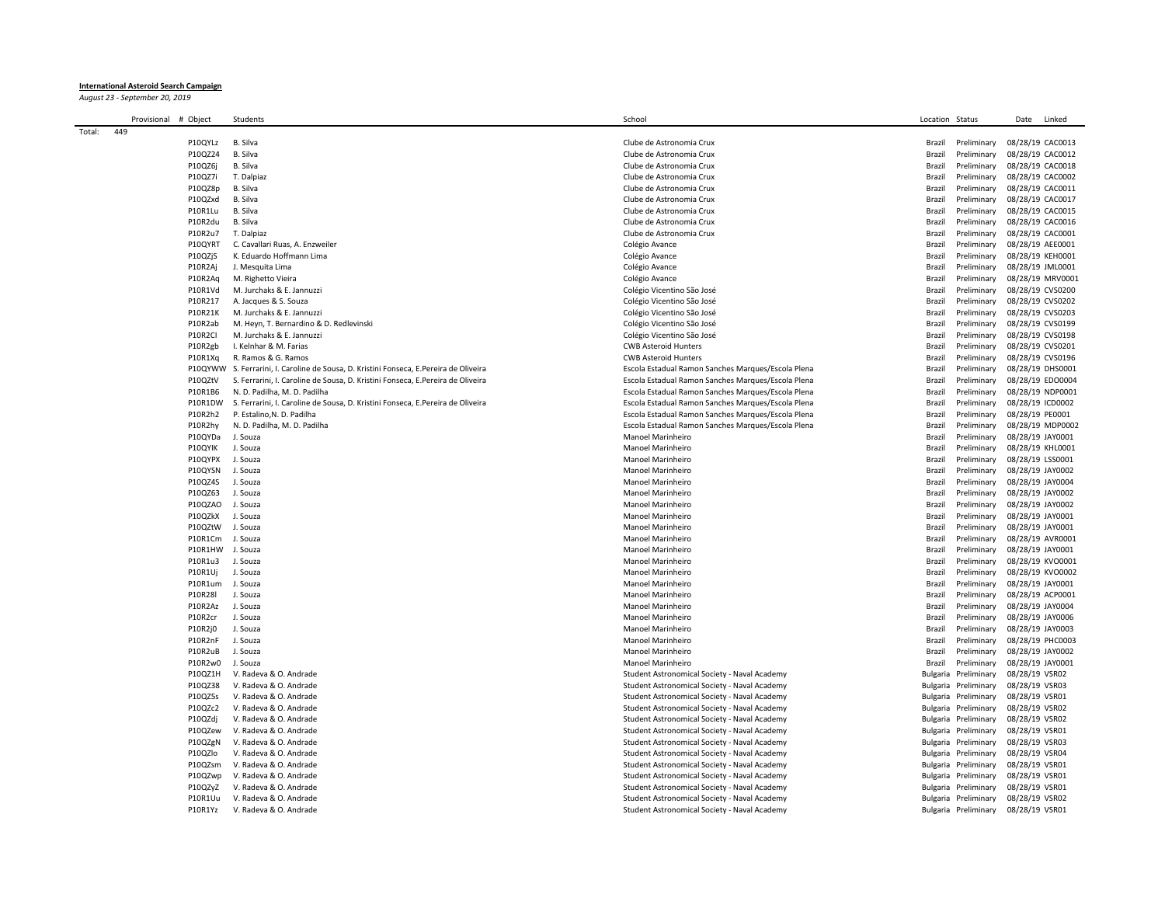## **International Asteroid Search Campaign**

*August 23 - September 20, 2019*

|        | Provisional | # Object           | Students                                                                        | School                                             | Location Status |                            | Linked<br>Date                       |
|--------|-------------|--------------------|---------------------------------------------------------------------------------|----------------------------------------------------|-----------------|----------------------------|--------------------------------------|
| Total: | 449         |                    |                                                                                 |                                                    |                 |                            |                                      |
|        |             | P10QYLz            | B. Silva                                                                        | Clube de Astronomia Crux                           | Brazil          | Preliminary                | 08/28/19 CAC0013                     |
|        |             | P10QZ24            | B. Silva                                                                        | Clube de Astronomia Crux                           | Brazil          | Preliminary                | 08/28/19 CAC0012                     |
|        |             | P10QZ6j            | B. Silva                                                                        | Clube de Astronomia Crux                           | Brazil          | Preliminary                | 08/28/19 CAC0018                     |
|        |             | P10QZ7i            | T. Dalpiaz                                                                      | Clube de Astronomia Crux                           | Brazi           | Preliminary                | 08/28/19 CAC0002                     |
|        |             | P10QZ8p            | B. Silva                                                                        | Clube de Astronomia Crux                           | Brazil          | Preliminary                | 08/28/19 CAC0011                     |
|        |             | P10QZxd            | B. Silva                                                                        | Clube de Astronomia Crux                           | Brazil          | Preliminary                | 08/28/19 CAC0017                     |
|        |             | P10R1Lu            | B. Silva                                                                        | Clube de Astronomia Crux                           | Brazil          | Preliminary                | 08/28/19 CAC0015                     |
|        |             | P10R2du            | B. Silva                                                                        | Clube de Astronomia Crux                           | Brazil          | Preliminary                | 08/28/19 CAC0016                     |
|        |             | P10R2u7            | T. Dalpiaz                                                                      | Clube de Astronomia Crux                           | Brazi           | Preliminary                | 08/28/19 CAC0001                     |
|        |             | P10QYRT            | C. Cavallari Ruas, A. Enzweiler                                                 | Colégio Avance                                     | Brazi           | Preliminary                | 08/28/19 AEE0001                     |
|        |             | P10QZjS            | K. Eduardo Hoffmann Lima                                                        | Colégio Avance                                     | Brazil          | Preliminary                | 08/28/19 KEH0001                     |
|        |             | P10R2Ai            | J. Mesquita Lima                                                                | Colégio Avance                                     | Brazil          | Preliminary                | 08/28/19 JML0001                     |
|        |             | P10R2Aq            | M. Righetto Vieira                                                              | Colégio Avance                                     | Brazil          | Preliminary                | 08/28/19 MRV0001                     |
|        |             | P10R1Vd            | M. Jurchaks & E. Jannuzzi                                                       | Colégio Vicentino São José                         | Brazil          | Preliminary                | 08/28/19 CVS0200                     |
|        |             | P10R217            | A. Jacques & S. Souza                                                           | Colégio Vicentino São José                         | Brazil          | Preliminary                | 08/28/19 CVS0202                     |
|        |             | P10R21K            | M. Jurchaks & E. Jannuzzi                                                       | Colégio Vicentino São José                         | Brazil          | Preliminary                | 08/28/19 CVS0203                     |
|        |             | P10R2ab            | M. Heyn, T. Bernardino & D. Redlevinski                                         | Colégio Vicentino São José                         | Brazil          | Preliminary                | 08/28/19 CVS0199                     |
|        |             | P10R2CI            | M. Jurchaks & E. Jannuzzi                                                       | Colégio Vicentino São José                         | Brazil          | Preliminary                | 08/28/19 CVS0198                     |
|        |             | P10R2gb            | I. Kelnhar & M. Farias                                                          | <b>CWB Asteroid Hunters</b>                        | Brazil          | Preliminary                | 08/28/19 CVS0201                     |
|        |             | P10R1Xq            | R. Ramos & G. Ramos                                                             | <b>CWB Asteroid Hunters</b>                        | Brazil          | Preliminary                | 08/28/19 CVS0196                     |
|        |             | P10QYWW            | S. Ferrarini, I. Caroline de Sousa, D. Kristini Fonseca, E.Pereira de Oliveira  | Escola Estadual Ramon Sanches Marques/Escola Plena | Brazil          | Preliminary                | 08/28/19 DHS0001                     |
|        |             | P10QZtV            | S. Ferrarini, I. Caroline de Sousa, D. Kristini Fonseca, E. Pereira de Oliveira | Escola Estadual Ramon Sanches Marques/Escola Plena | Brazil          | Preliminary                | 08/28/19 EDO0004                     |
|        |             | P10R1B6            | N. D. Padilha, M. D. Padilha                                                    | Escola Estadual Ramon Sanches Marques/Escola Plena | Brazil          | Preliminary                | 08/28/19 NDP0001                     |
|        |             | P10R1DW            | S. Ferrarini, I. Caroline de Sousa, D. Kristini Fonseca, E.Pereira de Oliveira  | Escola Estadual Ramon Sanches Marques/Escola Plena | Brazil          | Preliminary                | 08/28/19 ICD0002                     |
|        |             | P10R2h2            | P. Estalino, N. D. Padilha                                                      | Escola Estadual Ramon Sanches Marques/Escola Plena | Brazi           | Preliminary                | 08/28/19 PE0001                      |
|        |             | P10R2hy            | N. D. Padilha, M. D. Padilha                                                    | Escola Estadual Ramon Sanches Marques/Escola Plena | Brazil          | Preliminary                | 08/28/19 MDP0002                     |
|        |             | P10QYDa            | J. Souza                                                                        | Manoel Marinheiro                                  | Brazil          | Preliminary                | 08/28/19 JAY0001                     |
|        |             | P10QYIK<br>P10QYPX | J. Souza<br>J. Souza                                                            | Manoel Marinheiro<br>Manoel Marinheiro             | Brazil<br>Brazi | Preliminary<br>Preliminary | 08/28/19 KHL0001<br>08/28/19 LSS0001 |
|        |             | P10QYSN            | J. Souza                                                                        | Manoel Marinheiro                                  | Brazil          | Preliminary                | 08/28/19 JAY0002                     |
|        |             | P10QZ4S            | J. Souza                                                                        | Manoel Marinheiro                                  | Brazil          | Preliminary                | 08/28/19 JAY0004                     |
|        |             | P10QZ63            | J. Souza                                                                        | Manoel Marinheiro                                  | Brazil          | Preliminary                | 08/28/19 JAY0002                     |
|        |             | P10QZAO            | J. Souza                                                                        | Manoel Marinheiro                                  | Brazil          | Preliminary                | 08/28/19 JAY0002                     |
|        |             | P10QZkX            | J. Souza                                                                        | Manoel Marinheiro                                  | Brazil          | Preliminary                | 08/28/19 JAY0001                     |
|        |             | P10QZtW            | J. Souza                                                                        | Manoel Marinheiro                                  | Brazil          | Preliminary                | 08/28/19 JAY0001                     |
|        |             | P10R1Cm            | J. Souza                                                                        | Manoel Marinheiro                                  | Brazil          | Preliminary                | 08/28/19 AVR0001                     |
|        |             | P10R1HW            | J. Souza                                                                        | Manoel Marinheiro                                  | Brazil          | Preliminary                | 08/28/19 JAY0001                     |
|        |             | P10R1u3            | J. Souza                                                                        | Manoel Marinheiro                                  | Brazil          | Preliminary                | 08/28/19 KVO0001                     |
|        |             | P10R1Uj            | J. Souza                                                                        | Manoel Marinheiro                                  | Brazil          | Preliminary                | 08/28/19 KVO0002                     |
|        |             | P10R1um            | J. Souza                                                                        | Manoel Marinheiro                                  | Brazil          | Preliminary                | 08/28/19 JAY0001                     |
|        |             | P10R28I            | J. Souza                                                                        | Manoel Marinheiro                                  | Brazil          | Preliminary                | 08/28/19 ACP0001                     |
|        |             | P10R2Az            | J. Souza                                                                        | Manoel Marinheiro                                  | Brazil          | Preliminary                | 08/28/19 JAY0004                     |
|        |             | P10R2cr            | J. Souza                                                                        | Manoel Marinheiro                                  | Brazil          | Preliminary                | 08/28/19 JAY0006                     |
|        |             | P10R2j0            | J. Souza                                                                        | <b>Manoel Marinheiro</b>                           | Brazil          | Preliminary                | 08/28/19 JAY0003                     |
|        |             | P10R2nF            | J. Souza                                                                        | Manoel Marinheiro                                  | Brazil          | Preliminary                | 08/28/19 PHC0003                     |
|        |             | P10R2uB            | J. Souza                                                                        | Manoel Marinheiro                                  | Brazil          | Preliminary                | 08/28/19 JAY0002                     |
|        |             | P10R2w0            | J. Souza                                                                        | Manoel Marinheiro                                  | Brazil          | Preliminary                | 08/28/19 JAY0001                     |
|        |             | P10QZ1H            | V. Radeva & O. Andrade                                                          | Student Astronomical Society - Naval Academy       |                 | Bulgaria Preliminary       | 08/28/19 VSR02                       |
|        |             | P10QZ38            | V. Radeva & O. Andrade                                                          | Student Astronomical Society - Naval Academy       |                 | Bulgaria Preliminary       | 08/28/19 VSR03                       |
|        |             | P10QZ5s            | V. Radeva & O. Andrade                                                          | Student Astronomical Society - Naval Academy       |                 | Bulgaria Preliminary       | 08/28/19 VSR01                       |
|        |             | P10QZc2            | V. Radeva & O. Andrade                                                          | Student Astronomical Society - Naval Academy       |                 | Bulgaria Preliminary       | 08/28/19 VSR02                       |
|        |             | P10QZdi            | V. Radeva & O. Andrade                                                          | Student Astronomical Society - Naval Academy       |                 | Bulgaria Preliminary       | 08/28/19 VSR02                       |
|        |             | P10QZew            | V. Radeva & O. Andrade                                                          | Student Astronomical Society - Naval Academy       |                 | Bulgaria Preliminary       | 08/28/19 VSR01                       |
|        |             | P10QZgN            | V. Radeva & O. Andrade                                                          | Student Astronomical Society - Naval Academy       |                 | Bulgaria Preliminary       | 08/28/19 VSR03                       |
|        |             | P10QZlo            | V. Radeva & O. Andrade                                                          | Student Astronomical Society - Naval Academy       |                 | Bulgaria Preliminary       | 08/28/19 VSR04                       |
|        |             | P10QZsm            | V. Radeva & O. Andrade                                                          | Student Astronomical Society - Naval Academy       |                 | Bulgaria Preliminary       | 08/28/19 VSR01                       |
|        |             | P100Zwp            | V. Radeva & O. Andrade                                                          | Student Astronomical Society - Naval Academy       |                 | Bulgaria Preliminary       | 08/28/19 VSR01                       |
|        |             | P10QZyZ            | V. Radeva & O. Andrade                                                          | Student Astronomical Society - Naval Academy       |                 | Bulgaria Preliminary       | 08/28/19 VSR01                       |
|        |             | P10R1Uu            | V. Radeva & O. Andrade                                                          | Student Astronomical Society - Naval Academy       |                 | Bulgaria Preliminary       | 08/28/19 VSR02                       |
|        |             | P10R1Yz            | V. Radeva & O. Andrade                                                          | Student Astronomical Society - Naval Academy       |                 | Bulgaria Preliminary       | 08/28/19 VSR01                       |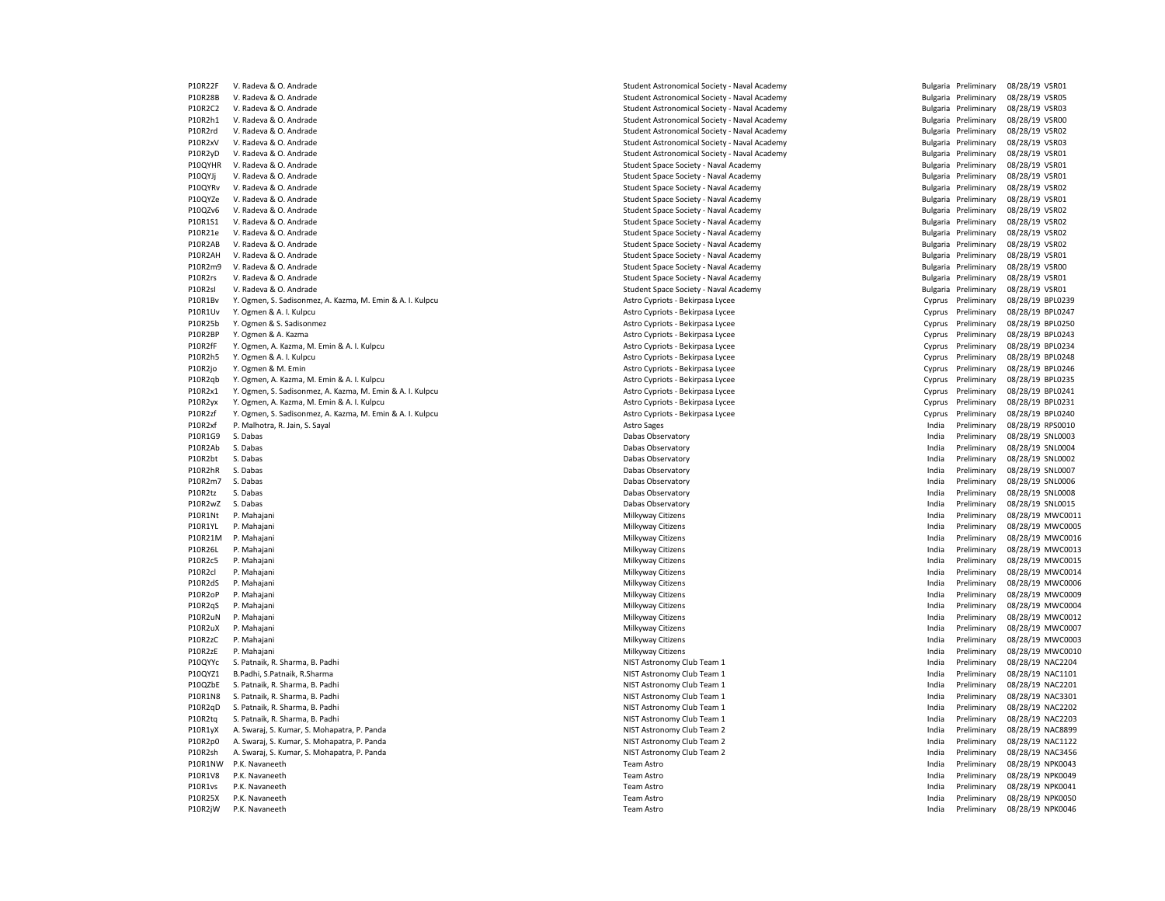| P10RZZI | V. Radeva & O. Andrade                                    | Student Astronomical Society - Naval Academy                                   |        | Bulgaria Preliminary | 08/28/19 VSR01   |                  |
|---------|-----------------------------------------------------------|--------------------------------------------------------------------------------|--------|----------------------|------------------|------------------|
| P10R28B | V. Radeva & O. Andrade                                    | Student Astronomical Society - Naval Academy                                   |        | Bulgaria Preliminary | 08/28/19 VSR05   |                  |
| P10R2C2 | V. Radeva & O. Andrade                                    | Student Astronomical Society - Naval Academy                                   |        | Bulgaria Preliminary | 08/28/19 VSR03   |                  |
| P10R2h1 | V. Radeva & O. Andrade                                    | Student Astronomical Society - Naval Academy                                   |        | Bulgaria Preliminary | 08/28/19 VSR00   |                  |
| P10R2rd | V. Radeva & O. Andrade                                    | Student Astronomical Society - Naval Academy                                   |        | Bulgaria Preliminary | 08/28/19 VSR02   |                  |
| P10R2xV | V. Radeva & O. Andrade                                    | Student Astronomical Society - Naval Academy                                   |        | Bulgaria Preliminary | 08/28/19 VSR03   |                  |
| P10R2yD | V. Radeva & O. Andrade                                    | Student Astronomical Society - Naval Academy                                   |        | Bulgaria Preliminary | 08/28/19 VSR01   |                  |
| P10QYHR | V. Radeva & O. Andrade                                    | Student Space Society - Naval Academy                                          |        | Bulgaria Preliminary | 08/28/19 VSR01   |                  |
| P10QYJj | V. Radeva & O. Andrade                                    | Student Space Society - Naval Academy                                          |        | Bulgaria Preliminary | 08/28/19 VSR01   |                  |
| P10QYRv | V. Radeva & O. Andrade                                    | Student Space Society - Naval Academy                                          |        | Bulgaria Preliminary | 08/28/19 VSR02   |                  |
| P10QYZe | V. Radeva & O. Andrade                                    | Student Space Society - Naval Academy                                          |        | Bulgaria Preliminary | 08/28/19 VSR01   |                  |
| P10QZv6 | V. Radeva & O. Andrade                                    | Student Space Society - Naval Academy                                          |        | Bulgaria Preliminary | 08/28/19 VSR02   |                  |
| P10R1S1 | V. Radeva & O. Andrade                                    | Student Space Society - Naval Academy                                          |        | Bulgaria Preliminary | 08/28/19 VSR02   |                  |
| P10R21e | V. Radeva & O. Andrade                                    | Student Space Society - Naval Academy                                          |        | Bulgaria Preliminary | 08/28/19 VSR02   |                  |
| P10R2AB | V. Radeva & O. Andrade                                    | Student Space Society - Naval Academy                                          |        | Bulgaria Preliminary | 08/28/19 VSR02   |                  |
| P10R2AH | V. Radeva & O. Andrade                                    |                                                                                |        | Bulgaria Preliminary | 08/28/19 VSR01   |                  |
| P10R2m9 | V. Radeva & O. Andrade                                    | Student Space Society - Naval Academy<br>Student Space Society - Naval Academy |        | Bulgaria Preliminary | 08/28/19 VSR00   |                  |
| P10R2rs | V. Radeva & O. Andrade                                    |                                                                                |        | Bulgaria Preliminary |                  |                  |
| P10R2sl | V. Radeva & O. Andrade                                    | Student Space Society - Naval Academy                                          |        |                      | 08/28/19 VSR01   |                  |
|         |                                                           | Student Space Society - Naval Academy                                          |        | Bulgaria Preliminary | 08/28/19 VSR01   |                  |
| P10R1Bv | Y. Ogmen, S. Sadisonmez, A. Kazma, M. Emin & A. I. Kulpcu | Astro Cypriots - Bekirpasa Lycee                                               | Cyprus | Preliminary          | 08/28/19 BPL0239 |                  |
| P10R1Uv | Y. Ogmen & A. I. Kulpcu                                   | Astro Cypriots - Bekirpasa Lycee                                               | Cyprus | Preliminary          | 08/28/19 BPL0247 |                  |
| P10R25b | Y. Ogmen & S. Sadisonmez                                  | Astro Cypriots - Bekirpasa Lycee                                               | Cyprus | Preliminary          | 08/28/19 BPL0250 |                  |
| P10R2BP | Y. Ogmen & A. Kazma                                       | Astro Cypriots - Bekirpasa Lycee                                               | Cyprus | Preliminary          | 08/28/19 BPL0243 |                  |
| P10R2fF | Y. Ogmen, A. Kazma, M. Emin & A. I. Kulpcu                | Astro Cypriots - Bekirpasa Lycee                                               | Cyprus | Preliminary          | 08/28/19 BPL0234 |                  |
| P10R2h5 | Y. Ogmen & A. I. Kulpcu                                   | Astro Cypriots - Bekirpasa Lycee                                               | Cyprus | Preliminary          | 08/28/19 BPL0248 |                  |
| P10R2jo | Y. Ogmen & M. Emin                                        | Astro Cypriots - Bekirpasa Lycee                                               | Cyprus | Preliminary          | 08/28/19 BPL0246 |                  |
| P10R2qb | Y. Ogmen, A. Kazma, M. Emin & A. I. Kulpcu                | Astro Cypriots - Bekirpasa Lycee                                               | Cyprus | Preliminary          | 08/28/19 BPL0235 |                  |
| P10R2x1 | Y. Ogmen, S. Sadisonmez, A. Kazma, M. Emin & A. I. Kulpcu | Astro Cypriots - Bekirpasa Lycee                                               | Cyprus | Preliminary          | 08/28/19 BPL0241 |                  |
| P10R2yx | Y. Ogmen, A. Kazma, M. Emin & A. I. Kulpcu                | Astro Cypriots - Bekirpasa Lycee                                               | Cyprus | Preliminary          | 08/28/19 BPL0231 |                  |
| P10R2zf | Y. Ogmen, S. Sadisonmez, A. Kazma, M. Emin & A. I. Kulpcu | Astro Cypriots - Bekirpasa Lycee                                               | Cyprus | Preliminary          | 08/28/19 BPL0240 |                  |
| P10R2xf | P. Malhotra, R. Jain, S. Sayal                            | <b>Astro Sages</b>                                                             | India  | Preliminary          | 08/28/19 RPS0010 |                  |
| P10R1G9 | S. Dabas                                                  | Dabas Observatory                                                              | India  | Preliminary          | 08/28/19 SNL0003 |                  |
| P10R2Ab | S. Dabas                                                  | Dabas Observatory                                                              | India  | Preliminary          | 08/28/19 SNL0004 |                  |
| P10R2bt | S. Dabas                                                  | Dabas Observatory                                                              | India  | Preliminary          | 08/28/19 SNL0002 |                  |
| P10R2hR | S. Dabas                                                  | Dabas Observatory                                                              | India  | Preliminary          | 08/28/19 SNL0007 |                  |
| P10R2m7 | S. Dabas                                                  | Dabas Observatory                                                              | India  | Preliminary          | 08/28/19 SNL0006 |                  |
| P10R2tz | S. Dabas                                                  | Dabas Observatory                                                              | India  | Preliminary          | 08/28/19 SNL0008 |                  |
| P10R2wZ | S. Dabas                                                  | Dabas Observatory                                                              | India  | Preliminary          | 08/28/19 SNL0015 |                  |
| P10R1Nt | P. Mahajani                                               | Milkyway Citizens                                                              | India  | Preliminary          |                  | 08/28/19 MWC0011 |
| P10R1YL | P. Mahajani                                               | Milkyway Citizens                                                              | India  | Preliminary          |                  | 08/28/19 MWC0005 |
| P10R21M | P. Mahajani                                               | Milkyway Citizens                                                              | India  | Preliminary          |                  | 08/28/19 MWC0016 |
| P10R26L | P. Mahajani                                               | Milkyway Citizens                                                              | India  | Preliminary          |                  | 08/28/19 MWC0013 |
| P10R2c5 | P. Mahajani                                               | Milkyway Citizens                                                              | India  | Preliminary          |                  | 08/28/19 MWC0015 |
| P10R2cl | P. Mahajani                                               | Milkyway Citizens                                                              | India  | Preliminary          |                  | 08/28/19 MWC0014 |
|         |                                                           |                                                                                |        |                      |                  |                  |
| P10R2dS | P. Mahajani                                               | Milkyway Citizens                                                              | India  | Preliminary          |                  | 08/28/19 MWC0006 |
| P10R2oP | P. Mahajani                                               | Milkyway Citizens                                                              | India  | Preliminary          |                  | 08/28/19 MWC0009 |
| P10R2qS | P. Mahajani                                               | Milkyway Citizens                                                              | India  | Preliminary          |                  | 08/28/19 MWC0004 |
| P10R2uN | P. Mahajani                                               | Milkyway Citizens                                                              | India  | Preliminary          |                  | 08/28/19 MWC0012 |
| P10R2uX | P. Mahajani                                               | Milkyway Citizens                                                              | India  | Preliminary          |                  | 08/28/19 MWC0007 |
| P10R2zC | P. Mahajani                                               | Milkyway Citizens                                                              | India  | Preliminary          |                  | 08/28/19 MWC0003 |
| P10R2zE | P. Mahajani                                               | Milkyway Citizens                                                              | India  | Preliminary          |                  | 08/28/19 MWC0010 |
| P10QYYc | S. Patnaik, R. Sharma, B. Padhi                           | NIST Astronomy Club Team 1                                                     | India  | Preliminary          | 08/28/19 NAC2204 |                  |
| P10QYZ1 | B.Padhi, S.Patnaik, R.Sharma                              | NIST Astronomy Club Team 1                                                     | India  | Preliminary          |                  | 08/28/19 NAC1101 |
| P10QZbE | S. Patnaik, R. Sharma, B. Padhi                           | NIST Astronomy Club Team 1                                                     | India  | Preliminary          | 08/28/19 NAC2201 |                  |
| P10R1N8 | S. Patnaik, R. Sharma, B. Padhi                           | NIST Astronomy Club Team 1                                                     | India  | Preliminary          | 08/28/19 NAC3301 |                  |
| P10R2qD | S. Patnaik, R. Sharma, B. Padhi                           | NIST Astronomy Club Team 1                                                     | India  | Preliminary          | 08/28/19 NAC2202 |                  |
| P10R2tg | S. Patnaik, R. Sharma, B. Padhi                           | NIST Astronomy Club Team 1                                                     | India  | Preliminary          | 08/28/19 NAC2203 |                  |
| P10R1yX | A. Swaraj, S. Kumar, S. Mohapatra, P. Panda               | NIST Astronomy Club Team 2                                                     | India  | Preliminary          |                  | 08/28/19 NAC8899 |
| P10R2p0 | A. Swaraj, S. Kumar, S. Mohapatra, P. Panda               | NIST Astronomy Club Team 2                                                     | India  | Preliminary          |                  | 08/28/19 NAC1122 |
| P10R2sh | A. Swaraj, S. Kumar, S. Mohapatra, P. Panda               | NIST Astronomy Club Team 2                                                     | India  | Preliminary          | 08/28/19 NAC3456 |                  |
| P10R1NW | P.K. Navaneeth                                            | Team Astro                                                                     | India  | Preliminary          | 08/28/19 NPK0043 |                  |
| P10R1V8 | P.K. Navaneeth                                            | Team Astro                                                                     | India  | Preliminary          | 08/28/19 NPK0049 |                  |
| P10R1vs | P.K. Navaneeth                                            | Team Astro                                                                     | India  | Preliminary          | 08/28/19 NPK0041 |                  |
| P10R25X | P.K. Navaneeth                                            | <b>Team Astro</b>                                                              | India  | Preliminary          | 08/28/19 NPK0050 |                  |
| P10R2jW | P.K. Navaneeth                                            | Team Astro                                                                     | India  | Preliminary          | 08/28/19 NPK0046 |                  |
|         |                                                           |                                                                                |        |                      |                  |                  |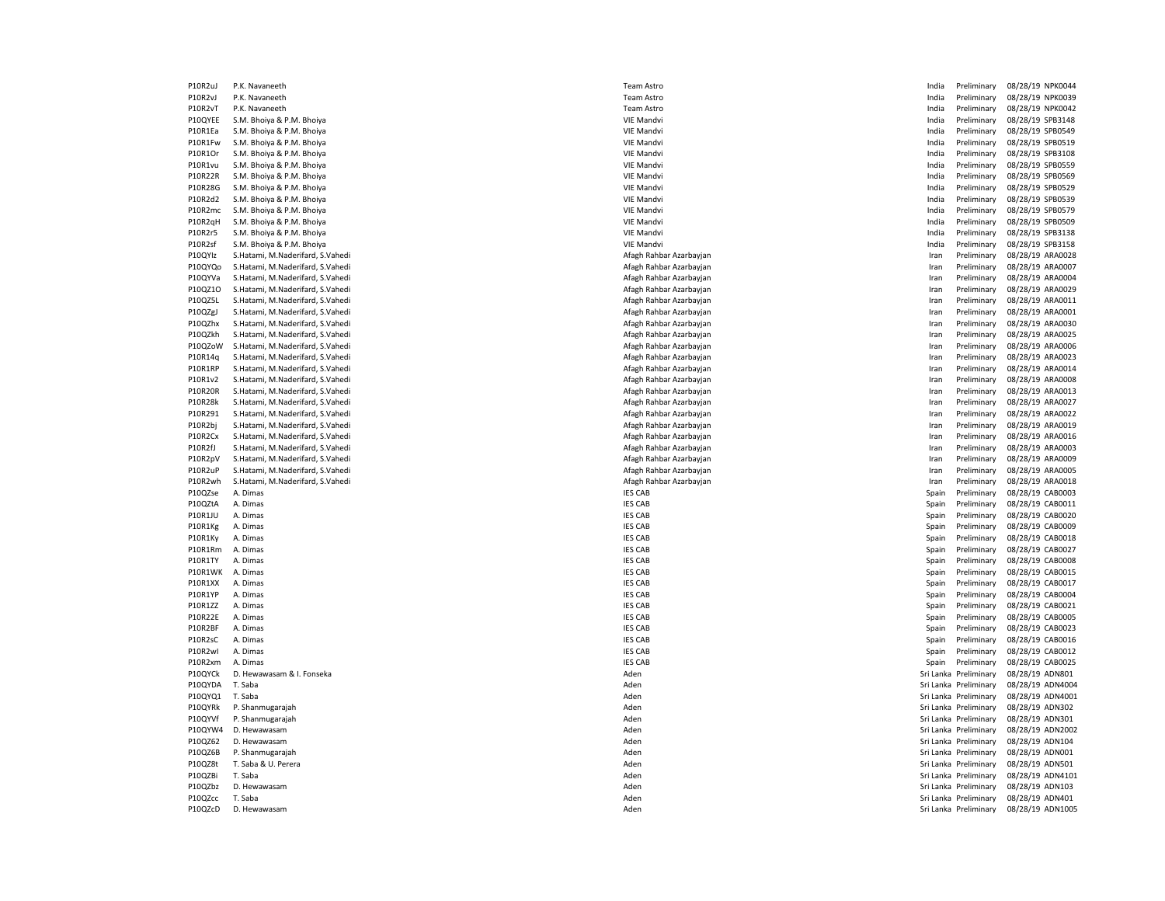| P10R2uJ        | P.K. Navaneeth                   | Team          |
|----------------|----------------------------------|---------------|
| P10R2vJ        | P.K. Navaneeth                   | Team          |
| P10R2vT        | P.K. Navaneeth                   | Team          |
| P10QYEE        | S.M. Bhoiya & P.M. Bhoiya        | VIE Ma        |
| P10R1Ea        | S.M. Bhoiya & P.M. Bhoiya        | VIE Ma        |
| P10R1Fw        | S.M. Bhoiya & P.M. Bhoiya        | VIE Ma        |
| P10R1Or        | S.M. Bhoiya & P.M. Bhoiya        | VIE Ma        |
| P10R1vu        | S.M. Bhoiya & P.M. Bhoiya        | VIE Ma        |
| P10R22R        | S.M. Bhoiya & P.M. Bhoiya        | VIE Ma        |
| P10R28G        |                                  | VIE Ma        |
|                | S.M. Bhoiya & P.M. Bhoiya        |               |
| P10R2d2        | S.M. Bhoiya & P.M. Bhoiya        | VIE Ma        |
| P10R2mc        | S.M. Bhoiya & P.M. Bhoiya        | VIE Ma        |
| P10R2qH        | S.M. Bhoiya & P.M. Bhoiya        | VIE Ma        |
| P10R2r5        | S.M. Bhoiya & P.M. Bhoiya        | VIE Ma        |
| P10R2sf        | S.M. Bhoiya & P.M. Bhoiya        | VIE Ma        |
| P10QYIz        | S.Hatami, M.Naderifard, S.Vahedi | Afagh         |
| P10QYQo        | S.Hatami, M.Naderifard, S.Vahedi | Afagh         |
| P10QYVa        | S.Hatami, M.Naderifard, S.Vahedi | Afagh         |
| P10QZ10        | S.Hatami, M.Naderifard, S.Vahedi | Afagh         |
| P10QZ5L        | S.Hatami, M.Naderifard, S.Vahedi | Afagh         |
| P10QZgJ        | S.Hatami, M.Naderifard, S.Vahedi | Afagh         |
| P10QZhx        | S.Hatami, M.Naderifard, S.Vahedi | Afagh         |
| P10QZkh        | S.Hatami, M.Naderifard, S.Vahedi | Afagh         |
| P10QZoW        | S.Hatami, M.Naderifard, S.Vahedi | Afagh         |
| P10R14q        | S.Hatami, M.Naderifard, S.Vahedi | Afagh         |
| P10R1RP        | S.Hatami, M.Naderifard, S.Vahedi | Afagh         |
| P10R1v2        | S.Hatami, M.Naderifard, S.Vahedi | Afagh         |
| <b>P10R20R</b> | S.Hatami, M.Naderifard, S.Vahedi | Afagh         |
| P10R28k        | S.Hatami, M.Naderifard, S.Vahedi | Afagh         |
| P10R291        | S.Hatami, M.Naderifard, S.Vahedi | Afagh         |
| P10R2bj        | S.Hatami, M.Naderifard, S.Vahedi | Afagh         |
| P10R2Cx        | S.Hatami, M.Naderifard, S.Vahedi | Afagh         |
| P10R2fJ        | S.Hatami, M.Naderifard, S.Vahedi | Afagh         |
| P10R2pV        | S.Hatami, M.Naderifard, S.Vahedi | Afagh         |
| P10R2uP        | S.Hatami, M.Naderifard, S.Vahedi | Afagh         |
| P10R2wh        | S.Hatami, M.Naderifard, S.Vahedi | Afagh         |
| P10QZse        | A. Dimas                         | IES CA        |
| P10QZtA        | A. Dimas                         | <b>IES CA</b> |
| <b>P10R1JU</b> | A. Dimas                         | <b>IES CA</b> |
| P10R1Kg        | A. Dimas                         | IES CA        |
| P10R1Ky        | A. Dimas                         | <b>IES CA</b> |
| P10R1Rm        | A. Dimas                         | IES CA        |
| P10R1TY        | A. Dimas                         | <b>IES CA</b> |
| P10R1WK        | A. Dimas                         | <b>IES CA</b> |
| P10R1XX        | A. Dimas                         | <b>IES CA</b> |
| P10R1YP        | A. Dimas                         | <b>IES CA</b> |
| P10R1ZZ        | A. Dimas                         | <b>IES CA</b> |
| P10R22E        | A. Dimas                         | <b>IES CA</b> |
| P10R2BF        | A. Dimas                         | <b>IES CA</b> |
| P10R2sC        | A. Dimas                         | <b>IES CA</b> |
| P10R2wl        | A. Dimas                         | <b>IES CA</b> |
| P10R2xm        | A. Dimas                         | <b>IES CA</b> |
| P10QYCk        | D. Hewawasam & I. Fonseka        | Aden          |
| P10QYDA        | T. Saba                          | Aden          |
| P10QYQ1        | T. Saba                          | Aden          |
| P10QYRk        | P. Shanmugarajah                 | Aden          |
| P10QYVf        | P. Shanmugarajah                 | Aden          |
| P10QYW4        | D. Hewawasam                     | Aden          |
| P10QZ62        |                                  | Aden          |
|                | D. Hewawasam                     |               |
| P10QZ6B        | P. Shanmugarajah                 | Aden          |
| P10QZ8t        | T. Saba & U. Perera              | Aden          |
| P10QZBi        | T. Saba                          | Aden          |
| P10QZbz        | D. Hewawasam                     | Aden          |
| P10QZcc        | T. Saba                          | Aden          |
| P10QZcD        | D. Hewawasam                     | Aden          |

| Team Astro           |
|----------------------|
| Team Astro           |
| Team Astro           |
| <b>VIE Mandvi</b>    |
| VIE Mandvi           |
| <b>VIE Mandvi</b>    |
| <b>VIE Mandvi</b>    |
| VIE Mandvi           |
| VIE Mandvi           |
| <b>VIE Mandvi</b>    |
| VIE Mandvi           |
| <b>VIE Mandvi</b>    |
| <b>VIE Mandvi</b>    |
| VIE Mandvi           |
| VIE Mandvi           |
| Afagh Rahbar Azarbay |
| Afagh Rahbar Azarbay |
| Afagh Rahbar Azarbay |
| Afagh Rahbar Azarbay |
| Afagh Rahbar Azarbay |
| Afagh Rahbar Azarbay |
| Afagh Rahbar Azarbay |
| Afagh Rahbar Azarbay |
| Afagh Rahbar Azarbay |
| Afagh Rahbar Azarbay |
| Afagh Rahbar Azarbay |
| Afagh Rahbar Azarbay |
| Afagh Rahbar Azarbay |
| Afagh Rahbar Azarbay |
| Afagh Rahbar Azarbay |
| Afagh Rahbar Azarbay |
| Afagh Rahbar Azarbay |
| Afagh Rahbar Azarbay |
| Afagh Rahbar Azarbay |
| Afagh Rahbar Azarbay |
| Afagh Rahbar Azarbay |
| <b>IES CAB</b>       |
| <b>IES CAB</b>       |
| <b>IES CAB</b>       |
| <b>IES CAB</b>       |
| <b>IES CAB</b>       |
| <b>IES CAB</b>       |
| <b>IES CAB</b>       |
| <b>IES CAB</b>       |
| <b>IES CAB</b>       |
| <b>IES CAB</b>       |
| <b>IES CAB</b>       |
| <b>IES CAB</b>       |
| IES CAB              |
| <b>IES CAB</b>       |
| IES C<br>:AB         |
| <b>IES CAB</b>       |
| Aden                 |
| Aden                 |
| Aden                 |
| Aden                 |
| Aden                 |
|                      |
| Aden                 |
| Aden                 |
| Aden                 |
| Aden                 |
| Aden                 |
| Aden<br>Aden         |

| P10R2uJ        | P.K. Navaneeth                   | Team Astro              | India | Preliminary           | 08/28/19 NPK0044 |
|----------------|----------------------------------|-------------------------|-------|-----------------------|------------------|
| P10R2vJ        | P.K. Navaneeth                   | Team Astro              | India | Preliminary           | 08/28/19 NPK0039 |
| P10R2vT        | P.K. Navaneeth                   | Team Astro              | India | Preliminary           | 08/28/19 NPK0042 |
| P10QYEE        | S.M. Bhoiya & P.M. Bhoiya        | <b>VIE Mandvi</b>       | India | Preliminary           | 08/28/19 SPB3148 |
| P10R1Ea        | S.M. Bhoiya & P.M. Bhoiya        | VIE Mandvi              | India | Preliminary           | 08/28/19 SPB0549 |
| P10R1Fw        | S.M. Bhoiya & P.M. Bhoiya        | <b>VIE Mandvi</b>       | India | Preliminary           | 08/28/19 SPB0519 |
| P10R1Or        | S.M. Bhoiya & P.M. Bhoiya        | <b>VIE Mandvi</b>       | India | Preliminary           | 08/28/19 SPB3108 |
| P10R1vu        | S.M. Bhoiya & P.M. Bhoiya        | <b>VIE Mandvi</b>       | India | Preliminary           | 08/28/19 SPB0559 |
| P10R22R        | S.M. Bhoiya & P.M. Bhoiya        | <b>VIE Mandvi</b>       | India | Preliminary           | 08/28/19 SPB0569 |
| P10R28G        | S.M. Bhoiya & P.M. Bhoiya        | <b>VIE Mandvi</b>       | India | Preliminary           | 08/28/19 SPB0529 |
| P10R2d2        | S.M. Bhoiya & P.M. Bhoiya        | <b>VIE Mandvi</b>       | India | Preliminary           | 08/28/19 SPB0539 |
| P10R2mc        | S.M. Bhoiya & P.M. Bhoiya        | <b>VIE Mandvi</b>       | India | Preliminary           | 08/28/19 SPB0579 |
|                | S.M. Bhoiya & P.M. Bhoiya        | <b>VIE Mandvi</b>       | India | Preliminary           |                  |
| P10R2qH        |                                  |                         |       |                       | 08/28/19 SPB0509 |
| P10R2r5        | S.M. Bhoiya & P.M. Bhoiya        | <b>VIE Mandvi</b>       | India | Preliminary           | 08/28/19 SPB3138 |
| P10R2sf        | S.M. Bhoiya & P.M. Bhoiya        | <b>VIE Mandvi</b>       | India | Preliminary           | 08/28/19 SPB3158 |
| P10QYIz        | S.Hatami, M.Naderifard, S.Vahedi | Afagh Rahbar Azarbayjan | Iran  | Preliminary           | 08/28/19 ARA0028 |
| P10QYQo        | S.Hatami, M.Naderifard, S.Vahedi | Afagh Rahbar Azarbayjan | Iran  | Preliminary           | 08/28/19 ARA000  |
| P10QYVa        | S.Hatami, M.Naderifard, S.Vahedi | Afagh Rahbar Azarbayjan | Iran  | Preliminary           | 08/28/19 ARA0004 |
| P10QZ10        | S.Hatami, M.Naderifard, S.Vahedi | Afagh Rahbar Azarbayjan | Iran  | Preliminary           | 08/28/19 ARA0029 |
| P10QZ5L        | S.Hatami, M.Naderifard, S.Vahedi | Afagh Rahbar Azarbayjan | Iran  | Preliminary           | 08/28/19 ARA001: |
| P10QZgJ        | S.Hatami, M.Naderifard, S.Vahedi | Afagh Rahbar Azarbayjan | Iran  | Preliminary           | 08/28/19 ARA0001 |
| P10QZhx        | S.Hatami, M.Naderifard, S.Vahedi | Afagh Rahbar Azarbayjan | Iran  | Preliminary           | 08/28/19 ARA003  |
| P10QZkh        | S.Hatami, M.Naderifard, S.Vahedi | Afagh Rahbar Azarbayjan | Iran  | Preliminary           | 08/28/19 ARA0025 |
| P10QZoW        | S.Hatami, M.Naderifard, S.Vahedi | Afagh Rahbar Azarbayjan | Iran  | Preliminary           | 08/28/19 ARA0006 |
| P10R14q        | S.Hatami, M.Naderifard, S.Vahedi | Afagh Rahbar Azarbayjan | Iran  | Preliminary           | 08/28/19 ARA0023 |
| P10R1RP        | S.Hatami, M.Naderifard, S.Vahedi | Afagh Rahbar Azarbayjan | Iran  | Preliminary           | 08/28/19 ARA0014 |
| P10R1v2        | S.Hatami, M.Naderifard, S.Vahedi | Afagh Rahbar Azarbayjan | Iran  | Preliminary           | 08/28/19 ARA0008 |
| P10R20R        | S.Hatami, M.Naderifard, S.Vahedi | Afagh Rahbar Azarbayjan | Iran  | Preliminary           | 08/28/19 ARA0013 |
| P10R28k        | S.Hatami, M.Naderifard, S.Vahedi | Afagh Rahbar Azarbayjan | Iran  | Preliminary           | 08/28/19 ARA002  |
| P10R291        | S.Hatami, M.Naderifard, S.Vahedi | Afagh Rahbar Azarbayjan | Iran  | Preliminary           | 08/28/19 ARA0022 |
| P10R2bj        | S.Hatami, M.Naderifard, S.Vahedi | Afagh Rahbar Azarbayjan | Iran  | Preliminary           | 08/28/19 ARA0019 |
| P10R2Cx        | S.Hatami, M.Naderifard, S.Vahedi | Afagh Rahbar Azarbayjan | Iran  | Preliminary           | 08/28/19 ARA001  |
| P10R2fJ        | S.Hatami, M.Naderifard, S.Vahedi | Afagh Rahbar Azarbayjan | Iran  | Preliminary           | 08/28/19 ARA0003 |
| P10R2pV        | S.Hatami, M.Naderifard, S.Vahedi | Afagh Rahbar Azarbayjan | Iran  | Preliminary           | 08/28/19 ARA0009 |
|                |                                  |                         |       |                       |                  |
| P10R2uP        | S.Hatami, M.Naderifard, S.Vahedi | Afagh Rahbar Azarbayjan | Iran  | Preliminary           | 08/28/19 ARA000! |
| P10R2wh        | S.Hatami, M.Naderifard, S.Vahedi | Afagh Rahbar Azarbayjan | Iran  | Preliminary           | 08/28/19 ARA0018 |
| P10QZse        | A. Dimas                         | <b>IES CAB</b>          | Spain | Preliminary           | 08/28/19 CAB0003 |
| P10QZtA        | A. Dimas                         | <b>IES CAB</b>          | Spain | Preliminary           | 08/28/19 CAB001: |
| <b>P10R1JU</b> | A. Dimas                         | <b>IES CAB</b>          | Spain | Preliminary           | 08/28/19 CAB0020 |
| P10R1Kg        | A. Dimas                         | <b>IES CAB</b>          | Spain | Preliminary           | 08/28/19 CAB0009 |
| P10R1Ky        | A. Dimas                         | <b>IES CAB</b>          | Spain | Preliminary           | 08/28/19 CAB0018 |
| P10R1Rm        | A. Dimas                         | <b>IES CAB</b>          | Spain | Preliminary           | 08/28/19 CAB002  |
| P10R1TY        | A. Dimas                         | <b>IES CAB</b>          | Spain | Preliminary           | 08/28/19 CAB0008 |
| P10R1WK        | A. Dimas                         | <b>IES CAB</b>          | Spain | Preliminary           | 08/28/19 CAB001! |
| P10R1XX        | A. Dimas                         | <b>IES CAB</b>          | Spain | Preliminary           | 08/28/19 CAB001  |
| P10R1YP        | A. Dimas                         | <b>IES CAB</b>          | Spain | Preliminary           | 08/28/19 CAB0004 |
| P10R1ZZ        | A. Dimas                         | <b>IES CAB</b>          | Spain | Preliminary           | 08/28/19 CAB0021 |
| P10R22E        | A. Dimas                         | <b>IES CAB</b>          | Spain | Preliminary           | 08/28/19 CAB0005 |
| P10R2BF        | A. Dimas                         | <b>IES CAB</b>          | Spain | Preliminary           | 08/28/19 CAB0023 |
| P10R2sC        | A. Dimas                         | <b>IES CAB</b>          | Spain | Preliminary           | 08/28/19 CAB0016 |
| P10R2wl        | A. Dimas                         | <b>IES CAB</b>          | Spain | Preliminary           | 08/28/19 CAB0012 |
| P10R2xm        | A. Dimas                         | <b>IES CAB</b>          | Spain | Preliminary           | 08/28/19 CAB002! |
| P10QYCk        | D. Hewawasam & I. Fonseka        | Aden                    |       | Sri Lanka Preliminary | 08/28/19 ADN801  |
| P10QYDA        | T. Saba                          | Aden                    |       | Sri Lanka Preliminary | 08/28/19 ADN4004 |
| P10QYQ1        | T. Saba                          | Aden                    |       | Sri Lanka Preliminary | 08/28/19 ADN4001 |
| P10QYRk        | P. Shanmugarajah                 | Aden                    |       | Sri Lanka Preliminary | 08/28/19 ADN302  |
| P10QYVf        | P. Shanmugarajah                 | Aden                    |       | Sri Lanka Preliminary |                  |
|                |                                  |                         |       |                       | 08/28/19 ADN301  |
| P10QYW4        | D. Hewawasam                     | Aden                    |       | Sri Lanka Preliminary | 08/28/19 ADN2002 |
| P10QZ62        | D. Hewawasam                     | Aden                    |       | Sri Lanka Preliminary | 08/28/19 ADN104  |
| P10QZ6B        | P. Shanmugarajah                 | Aden                    |       | Sri Lanka Preliminary | 08/28/19 ADN001  |
| P10QZ8t        | T. Saba & U. Perera              | Aden                    |       | Sri Lanka Preliminary | 08/28/19 ADN501  |
| P10QZBi        | T. Saba                          | Aden                    |       | Sri Lanka Preliminary | 08/28/19 ADN410  |
| P10QZbz        | D. Hewawasam                     | Aden                    |       | Sri Lanka Preliminary | 08/28/19 ADN103  |
| P10QZcc        | T. Saba                          | Aden                    |       | Sri Lanka Preliminary | 08/28/19 ADN401  |
| P10QZcD        | D. Hewawasam                     | Aden                    |       | Sri Lanka Preliminary | 08/28/19 ADN1005 |
|                |                                  |                         |       |                       |                  |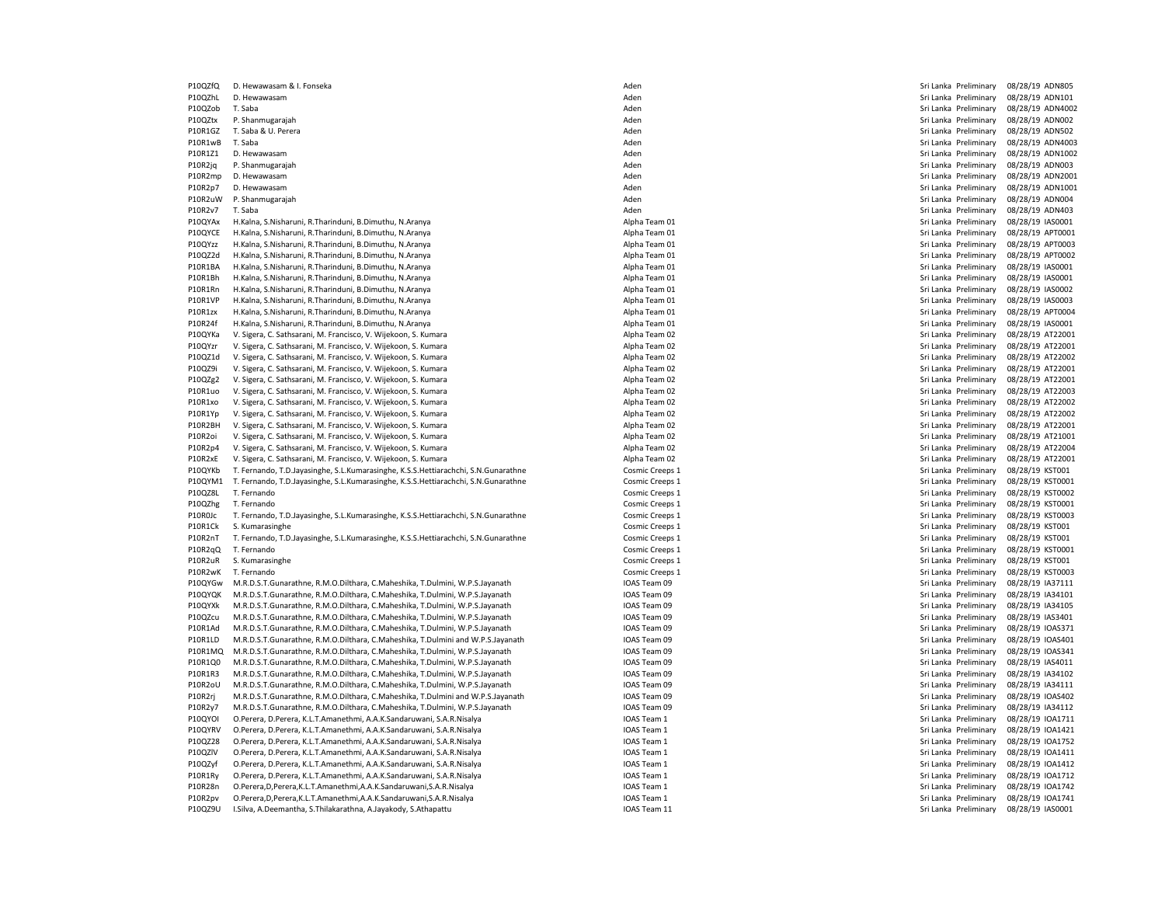P10QZfQ D. Hewawasam & I. Fonseka Aden Sri Lanka Preliminary 08/28/19 ADN805 P10QZhL D. Hewawasam Aden Sri Lanka Preliminary 08/28/19 ADN101 P10QZob T. Saba Aden Sri Lanka Preliminary 08/28/19 ADN4002 P10QZtx P. Shanmugarajah Aden Sri Lanka Preliminary 08/28/19 ADN002 P10R1GZ T. Saba & U. Perera Aden Sri Lanka Preliminary 08/28/19 ADN502 P10R1wB T. Saba Care and Sri Lanka Preliminary 08/28/19 ADN4003 P10R1Z1 D. Hewawasam Aden Sri Lanka Preliminary 08/28/19 ADN1002 P10R2jq P. Shanmugarajah Aden Sri Lanka Preliminary 08/28/19 ADN003 P10R2mp D. Hewawasam Aden Sri Lanka Preliminary 08/28/19 ADN2001 P10R2p7 D. Hewawasam Aden Sri Lanka Preliminary 08/28/19 ADN1001 P10R2uW P. Shanmugarajah Nasali aden Sri Lanka Preliminary 08/28/19 ADN004 P10R2v7 T. Saba Aden Sri Lanka Preliminary 08/28/19 ADN403 P10QYAx H.Kalna, S.Nisharuni, R.Tharinduni, B.Dimuthu, N.Aranya American Alpha Team 01 Alpha Team 01 Sri Lanka Preliminary 08/28/19 IAS0001 P10QYCE H.Kalna, S.Nisharuni, R.Tharinduni, B.Dimuthu, N.Aranya American Alpha Team 01 Alpha Team 01 Sri Lanka Preliminary 08/28/19 APT0001 P10QYzz H.Kalna, S.Nisharuni, R.Tharinduni, B.Dimuthu, N.Aranya Alpha Team 01 Sri Lanka Preliminary 08/28/19 APT0003 P10QZ2d H.Kalna, S.Nisharuni, R.Tharinduni, B.Dimuthu, N.Aranya Alpha Team 01 Sri Lanka Preliminary 08/28/19 APT0002 P10R1BA H.Kalna, S.Nisharuni, R.Tharinduni, B.Dimuthu, N.Aranya **Alpha Team 01** Sri Lanka Preliminary 08/28/19 IAS0001 N.B. Alpha Team 01 Sri Lanka Preliminary 08/28/19 IAS0001 P10R1Bh H.Kalna, S.Nisharuni, R.Tharinduni, B.Dimuthu, N.Aranya **Alpha Team 01** Sales and the sense of the sense of the state of the sense of the sense of the sense of the sense of the sense of the sense of the sense of th P10R1Rn H.Kalna, S.Nisharuni, R.Tharinduni, B.Dimuthu, N.Aranya American Alpha Team 01 Alpha Team 01 Sri Lanka Preliminary 08/28/19 IAS0002 P10R1VP H.Kalna, S.Nisharuni, R.Tharinduni, B.Dimuthu, N.Aranya Alpha Team 01 Sri Lanka Preliminary 08/28/19 IAS0003 P10R1zx H.Kalna, S.Nisharuni, R.Tharinduni, B.Dimuthu, N.Aranya American Alpha Team 01 Alpha Team 01 Sri Lanka Preliminary 08/28/19 APT0004 P10R24f H.Kalna, S.Nisharuni, R.Tharinduni, B.Dimuthu, N.Aranya **Alpha Team 01** Alpha Team 01 Sri Lanka Preliminary 08/28/19 IAS0001 P10QYKa V. Sigera, C. Sathsarani, M. Francisco, V. Wijekoon, S. Kumara Alpha Team 02 Alpha Team 02 Sri Lanka Preliminary 08/28/19 AT22001 P10QYzr V. Sigera, C. Sathsarani, M. Francisco, V. Wijekoon, S. Kumara Alpha Team 02 Alpha Team 02 Sri Lanka Preliminary 08/28/19 AT22001 P10QZ1d V. Sigera, C. Sathsarani, M. Francisco, V. Wijekoon, S. Kumara Alpha Team 02 Sri Lanka Preliminary 08/28/19 AT22002 P10QZ9i V. Sigera, C. Sathsarani, M. Francisco, V. Wijekoon, S. Kumara Alpha Team 02 Sri Lanka Preliminary 08/28/19 AT22001 P10QZg2 V. Sigera, C. Sathsarani, M. Francisco, V. Wijekoon, S. Kumara Alpha Team 02 Sri Lanka Preliminary 08/28/19 AT22001 P10R1uo V. Sigera, C. Sathsarani, M. Francisco, V. Wijekoon, S. Kumara Alpha Team 02 Alpha Team 02 Sri Lanka Preliminary 08/28/19 AT22003 P10R1xo V. Sigera, C. Sathsarani, M. Francisco, V. Wijekoon, S. Kumara Alpha Team 02 Sri Lanka Preliminary 08/28/19 AT22002 P10R1Yp V. Sigera, C. Sathsarani, M. Francisco, V. Wijekoon, S. Kumara Alpha Team 02 Alpha Team 02 Sri Lanka Preliminary 08/28/19 AT22002 P10R2BH V. Sigera, C. Sathsarani, M. Francisco, V. Wijekoon, S. Kumara Alpha Team 02 Alpha Team 02 Sri Lanka Preliminary 08/28/19 AT22001 P10R2oi V. Sigera, C. Sathsarani, M. Francisco, V. Wijekoon, S. Kumara Alpha Team 19 Alpha Team 02 Sri Lanka Preliminary 199/28/19 AT21001 Alpha Team 02 Sri Lanka Preliminary 08/28/19 AT21001 Alpha Team 02 Sri Lanka Prelim V. Sigera, C. Sathsarani, M. Francisco, V. Wijekoon, S. Kumara P10R2xE V. Sigera, C. Sathsarani, M. Francisco, V. Wijekoon, S. Kumara Alpha Team 02 Sri Lanka Preliminary 08/28/19 AT22001 P10QYKb T. Fernando, T.D.Jayasinghe, S.L.Kumarasinghe, K.S.S.Hettiarachchi, S.N.Gunarathne Cosmic Creeps 1 Cosmic Creeps 1 Sri Lanka Preliminary 08/28/19 KST001 P10QYM1 T. Fernando, T.D.Jayasinghe, S.L.Kumarasinghe, K.S.S.Hettiarachchi, S.N.Gunarathne Cosmic Creeps 1 Cosmic Creeps 1 Cosmic Creeps 1 Cosmic Creeps 1 Sri Lanka Preliminary 08/28/19 KST0002<br>P10QZ8L T. Fernando Prelimin P10QZhg T. Fernando 
T. Fernando 
Cosmic Creeps 1

Cosmic Creeps 1

Cosmic Creeps 1

Cosmic Creeps 1

Cosmic Creeps 1

Cosmic Creeps 1

Cosmic Creeps 1

Cosmic Creeps 1

Cosmic Creeps 1

Cosmic Creeps 1

Cosmic Creeps 1

C P10R0Jc T. Fernando, T.D.Jayasinghe, S.L.Kumarasinghe, K.S.S.Hettiarachchi, S.N.Gunarathne Cosmic Creeps 1 Cosmic Creeps 1 Sri Lanka Preliminary 08/28/19 KST0003 P10R1Ck S. Kumarasinghe S. Likumarasinghe S. Likumarasinghe K.S.S. Hettiarachchi. S.N.Gunarathne Cosmic Creeps 1 Cosmic Creeps 1 Sri Lanka Preliminary 08/28/19 KST001 Creeps 1 Sri Lanka Preliminary 08/28/19 KST001 Creeps 1 P10R2nT T. Fernando, T.D.Jayasinghe, S.L.Kumarasinghe, K.S.S.Hettiarachchi, S.N.Gunarathne Cosmic Creeps 1 Sri Lanka Preliminary 08/28/19 KST001 P10R2qQ T. Fernando entropy and the cosmic Creeps 1 Cosmic Creeps 1 Cosmic Creeps 1 Sri Lanka Preliminary 08/28/19 KST0001 P10R2uR S. Kumarasinghe Samus and the Cosmic Creeps 1 Cosmic Creeps 1 Cosmic Creeps 1 Sri Lanka Preliminary 08/28/19 KST001 P10R2wK T. Fernando Sales Research Cosmic Creeps 1 Cosmic Creeps 1 Cosmic Creeps 1 Sri Lanka Preliminary 08/28/19 KST0003<br>P10OYGw M.R.D.S.T.Gunarathne. R.M.O.Dilthara. C.Maheshika. T.Dulmini. W.P.S.Iavanath Cosmic Creeps 1 P10QYGw M.R.D.S.T.Gunarathne, R.M.O.Dilthara, C.Maheshika, T.Dulmini, W.P.S.Jayanath P10QYQK M.R.D.S.T.Gunarathne, R.M.O.Dilthara, C.Maheshika, T.Dulmini, W.P.S.Jayanath IOAS Team 09 Sri Lanka Preliminary 08/28/19 IA34101 P10QYXk M.R.D.S.T.Gunarathne, R.M.O.Dilthara, C.Maheshika, T.Dulmini, W.P.S.Jayanath IOAS Team 09 Sri Lanka Preliminary 08/28/19 IA34105 P10QZcu M.R.D.S.T.Gunarathne, R.M.O.Dilthara, C.Maheshika, T.Dulmini, W.P.S.Jayanath IOAS Team 09 Sri Lanka Preliminary 08/28/19 IAS3401 P10R1Ad M.R.D.S.T.Gunarathne, R.M.O.Dilthara, C.Maheshika, T.Dulmini, W.P.S. Jayanath IOAS Team 09 Sri Lanka Preliminary 08/28/19 IOAS371 IOAS371 IOAS371 IOAS371 IOAS371 IOAS371 IOAS371 IOAS371 IOAS371 IOAS371 IOAS371 IOAS P10R1LD M.R.D.S.T.Gunarathne, R.M.O.Dilthara, C.Maheshika, T.Dulmini and W.P.S.Jayanath IOAS Team 09 Sri Lanka Preliminary 08/28/19 IOAS401 P10R1MQ M.R.D.S.T.Gunarathne, R.M.O.Dilthara, C.Maheshika, T.Dulmini, W.P.S.Jayanath IOAS Team 09 Sri Lanka Preliminary 08/28/19 IOAS341 P10R1Q0 M.R.D.S.T.Gunarathne, R.M.O.Dilthara, C.Maheshika, T.Dulmini, W.P.S.Jayanath IOAS Team 09 Sri Lanka Preliminary 08/28/19 IAS4011 P10R1R3 M.R.D.S.T.Gunarathne, R.M.O.Dilthara, C.Maheshika, T.Dulmini, W.P.S.Jayanath IOAS Team 09 IOAS Team 09 Sri Lanka Preliminary 08/28/19 IA34102<br>IOR2oU M.R.D.S.T.Gunarathne, R.M.O.Dilthara, C.Maheshika, T.Dulmini, W.P M.R.D.S.T.Gunarathne, R.M.O.Dilthara, C.Maheshika, T.Dulmini, W.P.S.Jayanath P10R2rj M.R.D.S.T.Gunarathne, R.M.O.Dilthara, C.Maheshika, T.Dulmini and W.P.S.Jayanath IOAS Team 09 Sri Lanka Preliminary 08/28/19 IOAS402 P10R2y7 M.R.D.S.T.Gunarathne, R.M.O.Dilthara, C.Maheshika, T.Dulmini, W.P.S.Jayanath IOAS Team 09 Sri Lanka Preliminary 08/28/19 IA34112 P10QYOI O.Perera, D.Perera, K.L.T.Amanethmi, A.A.K.Sandaruwani, S.A.R.Nisalya IOAS IOAS IOAS Team 1 Sandarumani D.AS Team 1 Sri Lanka Preliminary 08/28/19 IOA1711 D.Perera, B.Perera, K.L.T.Amanethmi, A.A.K.Sandaruwani, S.A P10QYRV O.Perera, D.Perera, K.L.T.Amanethmi, A.A.K.Sandaruwani, S.A.R.Nisalya P10QZ28 O.Perera, D.Perera, K.L.T.Amanethmi, A.A.K.Sandaruwani, S.A.R.Nisalya IOAS Team 1 Sri Lanka Preliminary 08/28/19 IOA1752 P10QZlV O.Perera, D.Perera, K.L.T.Amanethmi, A.A.K.Sandaruwani, S.A.R.Nisalya IOAS Team 1 Sri Lanka Preliminary 08/28/19 IOA1411 P10QZyf O.Perera, D.Perera, K.L.T.Amanethmi, A.A.K.Sandaruwani, S.A.R.Nisalya IOAS Team 1 Sri Lanka Preliminary and DAS Team 1 Sri Lanka Preliminary 08/28/19 IOA1412 P10R1Ry O.Perera, D.Perera, K.L.T.Amanethmi, A.A.K.Sandaruwani, S.A.R.Nisalya IOAS Team 1 Sri Lanka Preliminary 08/28/19 IOA1712 P10R28n O.Perera,D,Perera,K.L.T.Amanethmi,A.A.K.Sandaruwani,S.A.R.Nisalya IOAS Team 1 Sri Lanka Preliminary 08/28/19 IOA1742 P10R2pv O.Perera,D,Perera,K.L.T.Amanethmi,A.A.K.Sandaruwani,S.A.R.Nisalya IOAS Team 1 Sri Lanka Preliminary 08/28/19 IOA1741 P10QZ9U I.Silva, A.Deemantha, S.Thilakarathna, A.Jayakody, S.Athapattu Inch and San Sri Lanka Preliminary 08/28/19 IAS0001 Inch and Sri Lanka Preliminary 08/28/19 IAS0001

Sri Lanka Preliminary 08/28/19 KST0002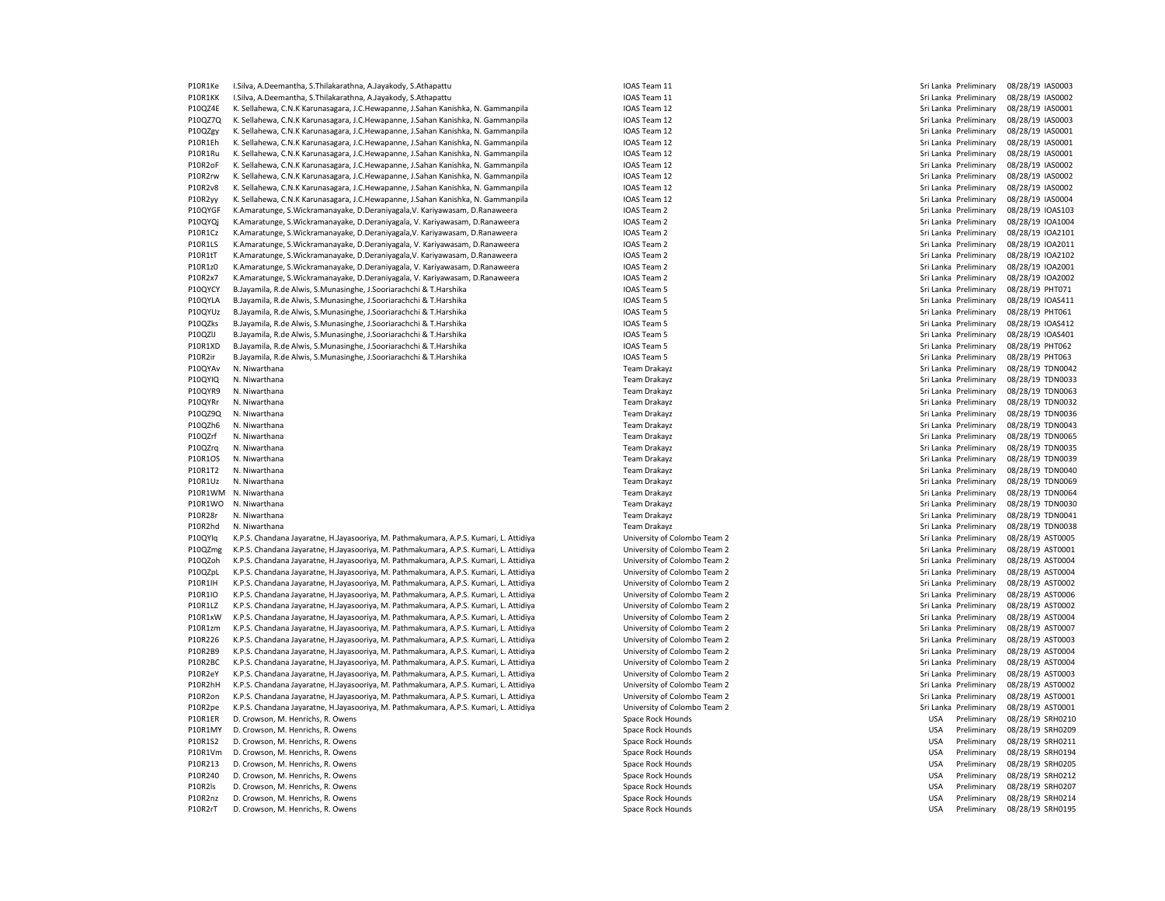P10R1Ke I.Silva, A.Deemantha, S.Thilakarathna, A.Jayakody, S.Athapattu IOAS Team 11 Sri Lanka Preliminary 08/28/19 IAS0003 P10R1KK I.Silva, A.Deemantha, S.Thilakarathna, A.Jayakody, S.Athapattu Inchremental Sri Lanka Preliminary 08/28/19 IAS0002 P10QZ4E K. Sellahewa, C.N.K Karunasagara, J.C.Hewapanne, J.Sahan Kanishka, N. Gammanpila IOAS Team 12 San and the sellah and the sellahewa, C.N.K Karunasagara, J.C.Hewapanne, J.Sahan Kanishka, N. Gammanpila IOAS Team 12 Sr P10QZ7Q K. Sellahewa, C.N.K Karunasagara, J.C.Hewapanne, J.Sahan Kanishka, N. Gammanpila P10QZgy K. Sellahewa, C.N.K Karunasagara, J.C.Hewapanne, J.Sahan Kanishka, N. Gammanpila IOAS Team 12 Sri Lanka Preliminary 08/28/19 IAS0001 P10R1Fh K. Sellahewa, C.N.K Karunasagara, J.C. Hewapanne, J.Sahan Kanishka, N. Gammanpila IOAS Team 12 Sri J.C. Sahan Kanishka, N. Gammanpila IOAS Team 12 Sri Lanka Preliminary 08/28/19 IAS0001 P10R1Ru K. Sellahewa, C.N.K Karunasagara, J.C.Hewapanne, J.Sahan Kanishka, N. Gammanpila IOAS Team 12 Sri Lanka Preliminary 08/28/19 IAS0001 P10R2oF K. Sellahewa, C.N.K Karunasagara, J.C.Hewapanne, J.Sahan Kanishka, N. Gammanpila IOAS Team 12 Sri Lanka Preliminary 08/28/19 IAS0002 P10R2rw K. Sellahewa, C.N.K Karunasagara, J.C.Hewapanne, J.Sahan Kanishka, N. Gammanpila IOAS Team 12 Sri Lanka Preliminary 08/28/19 IAS0002 P10R2v8 K. Sellahewa, C.N.K Karunasagara, J.C.Hewapanne, J.Sahan Kanishka, N. Gammanpila IOAS Team 12 Sri Lanka Preliminary 08/28/19 IAS0002 P10R2yy K. Sellahewa, C.N.K Karunasagara, J.C.Hewapanne, J.Sahan Kanishka, N. Gammanpila IOAS Team 12 Sri Lanka Preliminary 1981-1981 (Sellahewa, Sri Lanka Preliminary 08/28/19 IAS0004<br>P10OYGF K.Amaratunge. S.Wickramanayak P10QYGF K.Amaratunge, S.Wickramanayake, D.Deraniyagala,V. Kariyawasam, D.Ranaweera IOAS Team 2 Sri Lanka Preliminary 08/28/19 IOAS103 P10QYQj K.Amaratunge, S.Wickramanayake, D.Deraniyagala, V. Kariyawasam, D.Ranaweera IOAS Team 2 Sri Lanka Preliminary 08/28/19 IOA1004 P10R1Cz K.Amaratunge, S.Wickramanayake, D.Deraniyagala, V. Kariyawasam, D.Ranaweera IOAS Team 2 Sri Lanka Preliminary 08/28/19 IOA2101 P10R1LS K.Amaratunge S.Wickramanayake, D.Deraniyagala, V. Kariyawasam, D.Ranaweera IOAS Team 2 Sri Lanka Preliminary and Sri Lanka Preliminary 08/28/19 IOA2011 P10R1tT K.Amaratunge, S.Wickramanayake, D.Deraniyagala,V. Kariyawasam, D.Ranaweera IOAS Team 2 Sri Lanka Preliminary 08/28/19 IOA2102 P10R1z0 K.Amaratunge, S.Wickramanayake, D.Deraniyagala, V. Kariyawasam, D.Ranaweera IOAS Team 2 Sri Lanka Preliminary 08/28/19 IOA2001 P10R2x7 K.Amaratunge, S.Wickramanayake, D.Deraniyagala, V. Kariyawasam, D.Ranaweera IOAS Team 2 Sri Lanka Preliminary 08/28/19 IOA2002 P10QYCY B.Jayamila, R.de Alwis, S.Munasinghe, J.Sooriarachchi & T.Harshika IOAS Team 5 Sri Lanka Preliminary 08/28/19 PHT071 PHT071 P10QYLA B.Jayamila, R.de Alwis, S.Munasinghe, J.Sooriarachchi & T.Harshika IOAS Team 5 Sri Lanka Preliminary 08/28/19 IOAS411 P10QYUz B.Jayamila, R.de Alwis, S.Munasinghe, J.Sooriarachchi & T.Harshika IOAS Team 5 Sri Lanka Preliminary 08/28/19 PHT061 P10QZks B.Jayamila, R.de Alwis, S.Munasinghe, J.Sooriarachchi & T.Harshika IOAS Team 5 Sri Lanka Preliminary 08/28/19 IOAS412 P10QZlJ B.Jayamila, R.de Alwis, S.Munasinghe, J.Sooriarachchi & T.Harshika IOAS Team 5 Sri Lanka Preliminary 08/28/19 IOAS401 IOAS401 P10R1XD B.Jayamila, R.de Alwis, S.Munasinghe, J.Sooriarachchi & T.Harshika IOAS Team 5 Sri Lanka Preliminary 08/28/19 PHT062 P10R2ir B.Jayamila, R.de Alwis, S.Munasinghe, J.Sooriarachchi & T.Harshika IOAS Team 5 Sri Lanka Preliminary 08/28/19 PHT063 P10QYAv N. Niwarthana 2022/19 TDN0042 76am Drakayz Team Drakayz Team Drakayz Sri Lanka Preliminary 08/28/19 TDN0042 P10QYIQ N. Niwarthana and the state of the state of the state of the Team Drakayz Sri Lanka Preliminary 08/28/19 TDN0033 P10QYR9 N. Niwarthana 2022/19 TDN0063 November 2022/20 November 2022/20 November 2022/20 November 2022/19 TDN0063 P10QYRr N. Niwarthana Team Drakayz Sri Lanka Preliminary 08/28/19 TDN0032 P10QZ9Q N. Niwarthana Team Drakayz Sri Lanka Preliminary 08/28/19 TDN0036 P10QZh6 N. Niwarthana 2028/19 TDN0043 November 2022 2021 19 Team Drakayz Team Drakayz Sri Lanka Preliminary 08/28/19 TDN0043 P10QZrf N. Niwarthana Team Drakayz Sri Lanka Preliminary 08/28/19 TDN0065 P10R1OS N. Niwarthana Team Drakayz Sri Lanka Preliminary 08/28/19 TDN0039 P10R1T2 N. Niwarthana 2022/19 TDN0040 November 2022/19 Team Drakayz Team Drakayz Sri Lanka Preliminary 08/28/19 TDN0040 P10R1Uz N. Niwarthana 1997/2011 1997/2012 1997/2012 1997/2012 1000059 1000059 1000059 1000059 10000059 1000000<br>P10R1WM N. Niwarthana 1997/2012 1997/2012 1998/28/19 1000064 1000064 1000064 1000064 1000064 1000064 1000064 1 P10R1WM N. Niwarthana Team Drakayz Sri Lanka Preliminary 08/28/19 TDN0064 P10R1WO N. Niwarthana Team Drakayz Sri Lanka Preliminary 08/28/19 TDN0030 P10R28r N. Niwarthana Team Drakayz Sri Lanka Preliminary 08/28/19 TDN0041 P10R2hd N. Niwarthana Preliminary 08/28/19 TDN0038<br>P10OYlg K.P.S. Chandana Javaratne, H.Javasooriva, M. Pathmakumara, A.P.S. Kumari, I. Attidiva University of Colombo Team 2 Camera 2000 2000 2000 2001 101 201005 P10QYIq K.P.S. Chandana Jayaratne, H.Jayasooriya, M. Pathmakumara, A.P.S. Kumari, L. Attidiya P10QZmg K.P.S. Chandana Jayaratne, H.Jayasooriya, M. Pathmakumara, A.P.S. Kumari, L. Attidiya University of Colombo Team 2 Sri Lanka Preliminary 08/28/19 AST0001 P10QZoh K.P.S. Chandana Jayaratne, H.Jayasooriya, M. Pathmakumara, A.P.S. Kumari, L. Attidiya University of Colombo Team 2 Sri Lanka Preliminary 08/28/19 AST0004 P10QZpL K.P.S. Chandana Jayaratne, H.Jayasooriya, M. Pathmakumara, A.P.S. Kumari, L. Attidiya University of Colombo Team 2 Sri Lanka Preliminary 198/28/19 AST0004<br>P10R1IH K.P.S. Chandana Jayaratne. H.Jayasooriya. M. Pathma K.P.S. Chandana Jayaratne, H.Jayasooriya, M. Pathmakumara, A.P.S. Kumari, L. Attidiya P10R1IO K.P.S. Chandana Jayaratne, H.Jayasooriya, M. Pathmakumara, A.P.S. Kumari, L. Attidiya University of Colombo Team 2 Sri Lanka Preliminary 08/28/19 AST0006 P10R1LZ K.P.S. Chandana Jayaratne, H.Jayasooriya, M. Pathmakumara, A.P.S. Kumari, L. Attidiya University of Colombo Team 2 Sri Lanka Preliminary 08/28/19 AST0002 P10R1xW K.P.S. Chandana Jayaratne, H.Jayasooriya, M. Pathmakumara, A.P.S. Kumari, L. Attidiya University of Colombo Team 2 Sri Lanka Preliminary 08/28/19 AST0004 P10R1zm K.P.S. Chandana Jayaratne, H.Jayasooriya, M. Pathmakumara, A.P.S. Kumari, L. Attidiya University of Colombo Team 2 Sri Lanka Preliminary 198/28/19 AST0007<br>P10R226 K.P.S. Chandana Jayaratne, H.Jayasooriya, M. Pathma P10R226 K.P.S. Chandana Jayaratne, H.Jayasooriya, M. Pathmakumara, A.P.S. Kumari, L. Attidiya University of Colombo Team 2 Sri Lanka Preliminary 08/28/19 AST0003 P10R2B9 K.P.S. Chandana Jayaratne, H.Jayasooriya, M. Pathmakumara, A.P.S. Kumari, L. Attidiya University of Colombo Team 2 Sri Lanka Preliminary 08/28/19 AST0004 P10R2BC K.P.S. Chandana Jayaratne, H.Jayasooriya, M. Pathmakumara, A.P.S. Kumari, L. Attidiya University of Colombo Team 2 Sri Lanka Preliminary 08/28/19 AST0004 P10R2eY K.P.S. Chandana Jayaratne, H.Jayasooriya, M. Pathmakumara, A.P.S. Kumari, L. Attidiya University of Colombo Team 2 Sri Lanka Preliminary 198/28/19 AST0003<br>P10R2hH K.P.S. Chandana Jayaratne, H.Jayasooriya, M. Pathma K.P.S. Chandana Jayaratne, H.Jayasooriya, M. Pathmakumara, A.P.S. Kumari, L. Attidiya P10R2on K.P.S. Chandana Jayaratne, H.Jayasooriya, M. Pathmakumara, A.P.S. Kumari, L. Attidiya University of Colombo Team 2 Sri Lanka Preliminary 08/28/19 AST0001 P10R2pe K.P.S. Chandana Jayaratne, H.Jayasooriya, M. Pathmakumara, A.P.S. Kumari, L. Attidiya University of Colombo Team 2 Sri Lanka Preliminary 08/28/19 AST0001 P10R1ER D. Crowson, M. Henrichs, R. Owens Same States of March 2007 (Search Annual Space Rock Hounds Space Rock Hounds Space Rock Hounds Space Rock Hounds Space Rock Hounds Space Rock Hounds (Same Space Rock Hounds Space R P10R1MY D. Crowson, M. Henrichs, R. Owens Space Rock Hounds Space Rock Hounds Present Rock Hounds Present Rock Hounds DISA P10R1S2 D. Crowson, M. Henrichs, R. Owens Space Rock Hounds Space Rock Hounds Space Rock Hounds USA Preliminary 08/28/19 SRH0211 P10R1Vm D. Crowson, M. Henrichs, R. Owens Space Rock Hounds Space Rock Hounds Space Rock Hounds DSA Preliminary 08/28/19 SRH0194 P10R213 D. Crowson, M. Henrichs, R. Owens Space Rock Hounds USA Preliminary 08/28/19 SRH0205 P10R240 D. Crowson, M. Henrichs, R. Owens Space Rock Hounds USA Preliminary 08/28/19 SRH0212 P10R2ls D. Crowson, M. Henrichs, R. Owens Space Rock Hounds Space Rock Hounds Space Rock Hounds USA Preliminary 08/28/19 SRH0207 P10R2nz D. Crowson, M. Henrichs, R. Owens Space Communications of the Space Rock Hounds Space Rock Hounds Space Rock Hounds USA Preliminary 08/28/19 SRH0214 P10R2rT D. Crowson, M. Henrichs, R. Owens Space Space Rock Hounds Space Rock Hounds Space Rock Hounds USA Preliminary 08/28/19 SRH0195

Sri Lanka Preliminary 08/28/19 TDN0035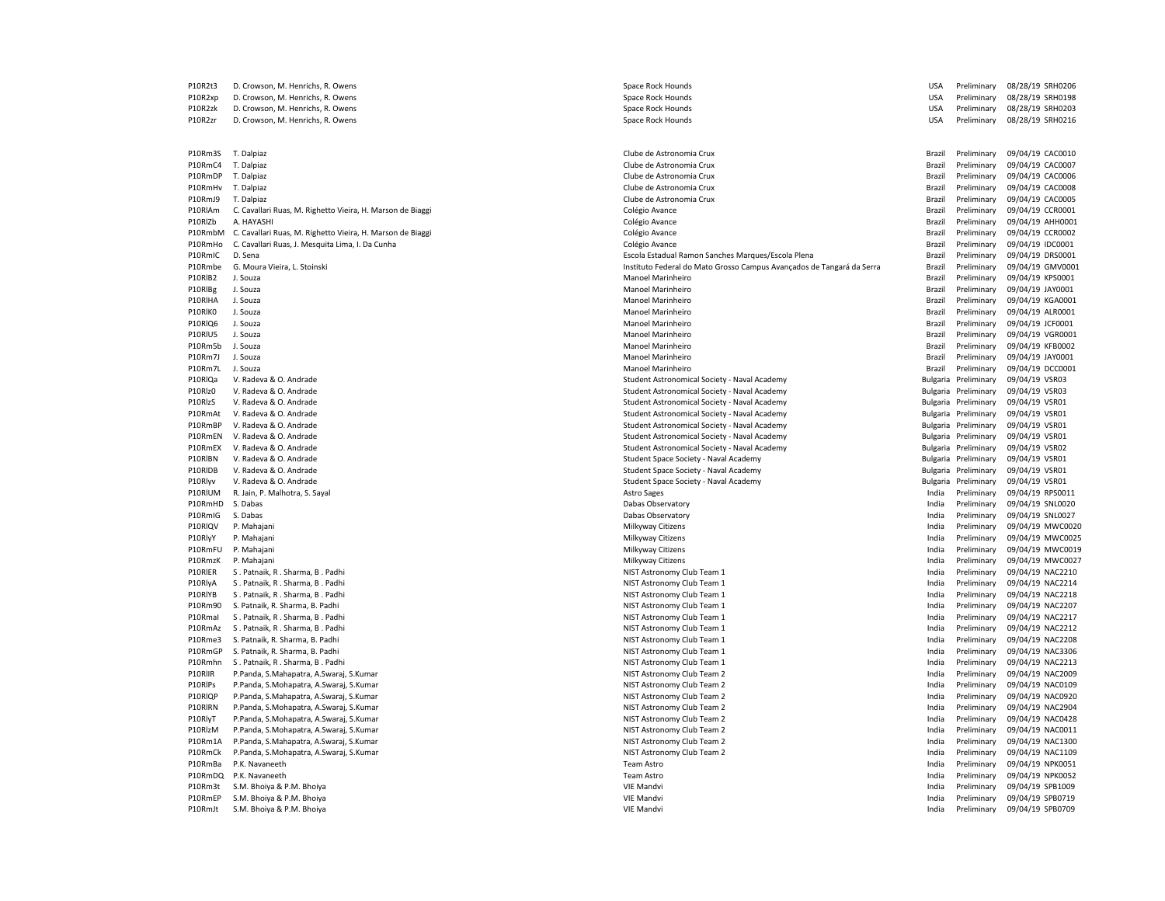| P10R2t3 | D. Crowson, M. Henrichs, R. Owens                                  | Space Rock Hounds                                                     | <b>USA</b>     | Preliminary          | 08/28/19 SRH0206                     |
|---------|--------------------------------------------------------------------|-----------------------------------------------------------------------|----------------|----------------------|--------------------------------------|
| P10R2xp | D. Crowson, M. Henrichs, R. Owens                                  | Space Rock Hounds                                                     | <b>USA</b>     | Preliminary          | 08/28/19 SRH0198                     |
| P10R2zk | D. Crowson, M. Henrichs, R. Owens                                  | Space Rock Hounds                                                     | <b>USA</b>     | Preliminary          | 08/28/19 SRH0203                     |
| P10R2zr | D. Crowson, M. Henrichs, R. Owens                                  | Space Rock Hounds                                                     | <b>USA</b>     | Preliminary          | 08/28/19 SRH0216                     |
|         |                                                                    |                                                                       |                |                      |                                      |
|         |                                                                    |                                                                       |                |                      |                                      |
| P10Rm3S | T. Dalpiaz                                                         | Clube de Astronomia Crux                                              | Brazil         | Preliminary          | 09/04/19 CAC0010                     |
| P10RmC4 | T. Dalpiaz                                                         | Clube de Astronomia Crux                                              | Brazil         | Preliminary          | 09/04/19 CAC0007                     |
| P10RmDP | T. Dalpiaz                                                         | Clube de Astronomia Crux                                              | Brazil         | Preliminary          | 09/04/19 CAC0006                     |
| P10RmHv | T. Dalpiaz                                                         | Clube de Astronomia Crux                                              | Brazil         | Preliminary          | 09/04/19 CAC0008                     |
| P10RmJ9 | T. Dalpiaz                                                         | Clube de Astronomia Crux                                              | Brazil         | Preliminary          | 09/04/19 CAC0005                     |
| P10RIAm | C. Cavallari Ruas, M. Righetto Vieira, H. Marson de Biaggi         | Colégio Avance                                                        | Brazil         | Preliminary          | 09/04/19 CCR0001                     |
| P10RIZb | A. HAYASHI                                                         | Colégio Avance                                                        | Brazil         | Preliminary          | 09/04/19 AHH0001                     |
| P10RmbM | C. Cavallari Ruas, M. Righetto Vieira, H. Marson de Biaggi         | Colégio Avance                                                        | Brazil         | Preliminary          | 09/04/19 CCR0002                     |
| P10RmHo | C. Cavallari Ruas, J. Mesquita Lima, I. Da Cunha                   | Colégio Avance                                                        | Brazil         | Preliminary          | 09/04/19 IDC0001                     |
|         |                                                                    |                                                                       |                |                      |                                      |
| P10RmIC | D. Sena                                                            | Escola Estadual Ramon Sanches Marques/Escola Plena                    | Brazil         | Preliminary          | 09/04/19 DRS0001                     |
| P10Rmbe | G. Moura Vieira, L. Stoinski                                       | Instituto Federal do Mato Grosso Campus Avançados de Tangará da Serra | Brazil         | Preliminary          | 09/04/19 GMV0001                     |
| P10RIB2 | J. Souza                                                           | Manoel Marinheiro                                                     | Brazil         | Preliminary          | 09/04/19 KPS0001                     |
| P10RIBg | J. Souza                                                           | Manoel Marinheiro                                                     | Brazil         | Preliminary          | 09/04/19 JAY0001                     |
| P10RIHA | J. Souza                                                           | Manoel Marinheiro                                                     | Brazil         | Preliminary          | 09/04/19 KGA0001                     |
| P10RIKO | J. Souza                                                           | Manoel Marinheiro                                                     | Brazil         | Preliminary          | 09/04/19 ALR0001                     |
| P10RIQ6 | J. Souza                                                           | Manoel Marinheiro                                                     | Brazil         | Preliminary          | 09/04/19 JCF0001                     |
| P10RIU5 | J. Souza                                                           | Manoel Marinheiro                                                     | Brazil         | Preliminary          | 09/04/19 VGR0001                     |
| P10Rm5b | J. Souza                                                           | Manoel Marinheiro                                                     | Brazil         | Preliminary          | 09/04/19 KFB0002                     |
| P10Rm7J | J. Souza                                                           | Manoel Marinheiro                                                     | Brazil         | Preliminary          | 09/04/19 JAY0001                     |
| P10Rm7L | J. Souza                                                           | Manoel Marinheiro                                                     | Brazil         | Preliminary          | 09/04/19 DCC0001                     |
| P10RIQa | V. Radeva & O. Andrade                                             | Student Astronomical Society - Naval Academy                          |                | Bulgaria Preliminary | 09/04/19 VSR03                       |
| P10Rlz0 | V. Radeva & O. Andrade                                             | Student Astronomical Society - Naval Academy                          |                | Bulgaria Preliminary | 09/04/19 VSR03                       |
| P10RlzS | V. Radeva & O. Andrade                                             | Student Astronomical Society - Naval Academy                          |                | Bulgaria Preliminary | 09/04/19 VSR01                       |
| P10RmAt | V. Radeva & O. Andrade                                             | Student Astronomical Society - Naval Academy                          |                | Bulgaria Preliminary | 09/04/19 VSR01                       |
| P10RmBP | V. Radeva & O. Andrade                                             | Student Astronomical Society - Naval Academy                          |                | Bulgaria Preliminary | 09/04/19 VSR01                       |
| P10RmEN | V. Radeva & O. Andrade                                             | Student Astronomical Society - Naval Academy                          |                | Bulgaria Preliminary | 09/04/19 VSR01                       |
| P10RmEX | V. Radeva & O. Andrade                                             | Student Astronomical Society - Naval Academy                          |                | Bulgaria Preliminary | 09/04/19 VSR02                       |
| P10RIBN | V. Radeva & O. Andrade                                             | Student Space Society - Naval Academy                                 |                | Bulgaria Preliminary | 09/04/19 VSR01                       |
| P10RIDB | V. Radeva & O. Andrade                                             | Student Space Society - Naval Academy                                 |                | Bulgaria Preliminary | 09/04/19 VSR01                       |
| P10Rlyv | V. Radeva & O. Andrade                                             | Student Space Society - Naval Academy                                 | Bulgaria       | Preliminary          | 09/04/19 VSR01                       |
| P10RIUM | R. Jain, P. Malhotra, S. Sayal                                     | <b>Astro Sages</b>                                                    | India          | Preliminary          | 09/04/19 RPS0011                     |
| P10RmHD | S. Dabas                                                           | Dabas Observatory                                                     | India          | Preliminary          | 09/04/19 SNL0020                     |
| P10RmIG | S. Dabas                                                           | Dabas Observatory                                                     | India          | Preliminary          | 09/04/19 SNL0027                     |
| P10RIQV | P. Mahajani                                                        | Milkyway Citizens                                                     | India          | Preliminary          | 09/04/19 MWC0020                     |
| P10RlyY | P. Mahajani                                                        | Milkyway Citizens                                                     | India          | Preliminary          | 09/04/19 MWC0025                     |
| P10RmFU | P. Mahajani                                                        | Milkyway Citizens                                                     | India          | Preliminary          | 09/04/19 MWC0019                     |
| P10RmzK | P. Mahajani                                                        | Milkyway Citizens                                                     | India          | Preliminary          | 09/04/19 MWC0027                     |
| P10RIER | S. Patnaik, R. Sharma, B. Padhi                                    | NIST Astronomy Club Team 1                                            | India          | Preliminary          | 09/04/19 NAC2210                     |
| P10RlyA | S. Patnaik, R. Sharma, B. Padhi                                    | NIST Astronomy Club Team 1                                            | India          | Preliminary          | 09/04/19 NAC2214                     |
| P10RIYB | S. Patnaik, R. Sharma, B. Padhi                                    | NIST Astronomy Club Team 1                                            | India          | Preliminary          | 09/04/19 NAC2218                     |
| P10Rm90 | S. Patnaik, R. Sharma, B. Padhi                                    | NIST Astronomy Club Team 1                                            | India          | Preliminary          | 09/04/19 NAC2207                     |
| P10Rmal |                                                                    |                                                                       |                | Preliminary          |                                      |
| P10RmAz | S. Patnaik, R. Sharma, B. Padhi<br>S. Patnaik, R. Sharma, B. Padhi | NIST Astronomy Club Team 1<br>NIST Astronomy Club Team 1              | India<br>India | Preliminary          | 09/04/19 NAC2217<br>09/04/19 NAC2212 |
|         |                                                                    |                                                                       |                |                      |                                      |
| P10Rme3 | S. Patnaik, R. Sharma, B. Padhi                                    | NIST Astronomy Club Team 1                                            | India          | Preliminary          | 09/04/19 NAC2208                     |
| P10RmGP | S. Patnaik, R. Sharma, B. Padhi                                    | NIST Astronomy Club Team 1                                            | India          | Preliminary          | 09/04/19 NAC3306                     |
| P10Rmhn | S. Patnaik, R. Sharma, B. Padhi                                    | NIST Astronomy Club Team 1                                            | India          | Preliminary          | 09/04/19 NAC2213                     |
| P10RlIR | P.Panda, S.Mahapatra, A.Swaraj, S.Kumar                            | NIST Astronomy Club Team 2                                            | India          | Preliminary          | 09/04/19 NAC2009                     |
| P10RIPs | P.Panda, S.Mohapatra, A.Swaraj, S.Kumar                            | NIST Astronomy Club Team 2                                            | India          | Preliminary          | 09/04/19 NAC0109                     |
| P10RIQP | P.Panda, S.Mahapatra, A.Swaraj, S.Kumar                            | NIST Astronomy Club Team 2                                            | India          | Preliminary          | 09/04/19 NAC0920                     |
| P10RIRN | P.Panda, S.Mohapatra, A.Swaraj, S.Kumar                            | NIST Astronomy Club Team 2                                            | India          | Preliminary          | 09/04/19 NAC2904                     |
| P10RlyT | P.Panda, S.Mohapatra, A.Swaraj, S.Kumar                            | NIST Astronomy Club Team 2                                            | India          | Preliminary          | 09/04/19 NAC0428                     |
| P10RlzM | P.Panda, S.Mohapatra, A.Swaraj, S.Kumar                            | NIST Astronomy Club Team 2                                            | India          | Preliminary          | 09/04/19 NAC0011                     |
| P10Rm1A | P.Panda, S.Mahapatra, A.Swaraj, S.Kumar                            | NIST Astronomy Club Team 2                                            | India          | Preliminary          | 09/04/19 NAC1300                     |
| P10RmCk | P.Panda, S.Mohapatra, A.Swaraj, S.Kumar                            | NIST Astronomy Club Team 2                                            | India          | Preliminary          | 09/04/19 NAC1109                     |
| P10RmBa | P.K. Navaneeth                                                     | Team Astro                                                            | India          | Preliminary          | 09/04/19 NPK0051                     |
| P10RmDQ | P.K. Navaneeth                                                     | Team Astro                                                            | India          | Preliminary          | 09/04/19 NPK0052                     |
| P10Rm3t | S.M. Bhoiya & P.M. Bhoiya                                          | <b>VIE Mandvi</b>                                                     | India          | Preliminary          | 09/04/19 SPB1009                     |
| P10RmEP | S.M. Bhoiya & P.M. Bhoiya                                          | VIE Mandvi                                                            | India          | Preliminary          | 09/04/19 SPB0719                     |
| P10RmJt | S.M. Bhoiya & P.M. Bhoiya                                          | <b>VIE Mandvi</b>                                                     | India          | Preliminary          | 09/04/19 SPB0709                     |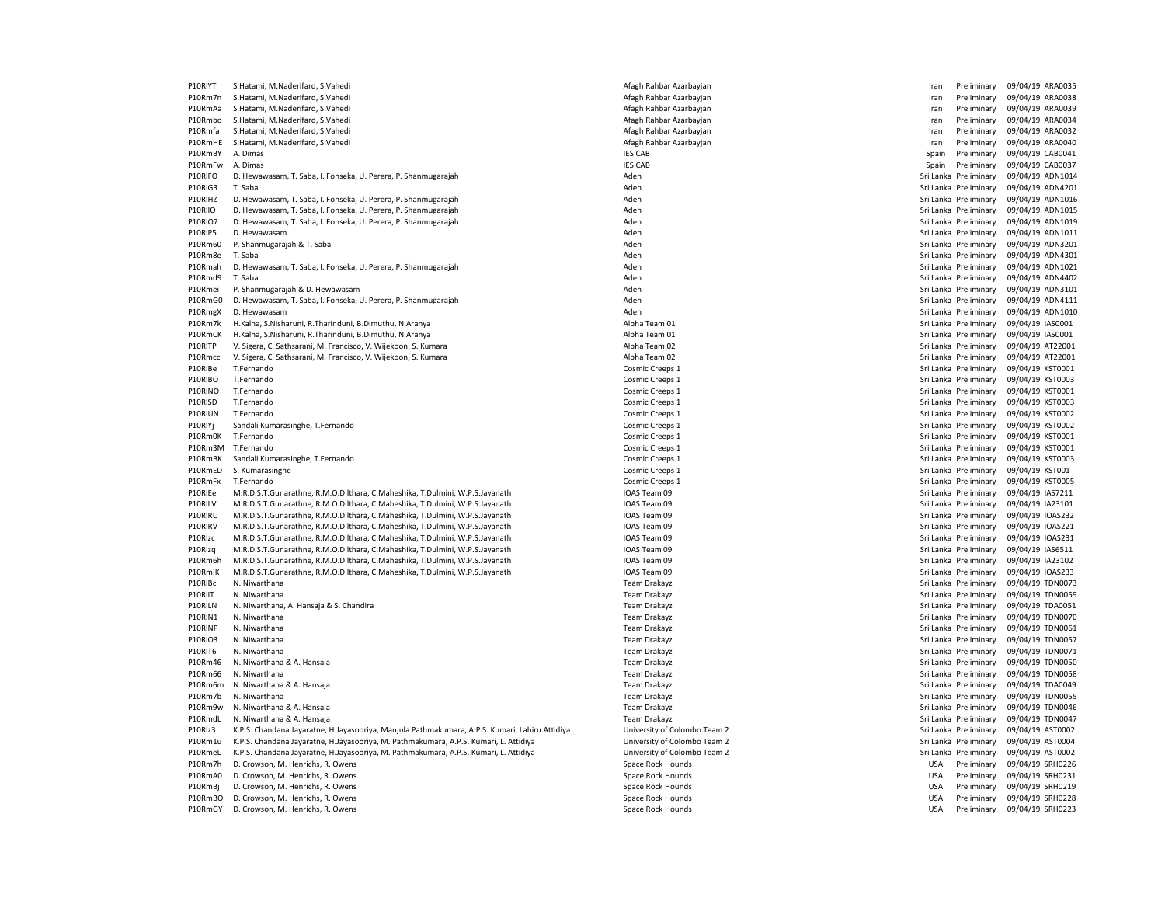| P10RIYT            | S.Hatami, M.Naderifard, S.Vahedi                                                                                                                             | Afagh Rahbar Azarbayjan      | Preliminary<br>Iran                            | 09/04/19 ARA0035                     |
|--------------------|--------------------------------------------------------------------------------------------------------------------------------------------------------------|------------------------------|------------------------------------------------|--------------------------------------|
| P10Rm7n            | S.Hatami, M.Naderifard, S.Vahedi                                                                                                                             | Afagh Rahbar Azarbayjan      | Iran<br>Preliminary                            | 09/04/19 ARA0038                     |
| P10RmAa            | S.Hatami, M.Naderifard, S.Vahedi                                                                                                                             | Afagh Rahbar Azarbayjan      | Iran<br>Preliminary                            | 09/04/19 ARA0039                     |
| P10Rmbo            | S.Hatami, M.Naderifard, S.Vahedi                                                                                                                             | Afagh Rahbar Azarbayjan      | Iran<br>Preliminary                            | 09/04/19 ARA0034                     |
| P10Rmfa            | S.Hatami, M.Naderifard, S.Vahedi                                                                                                                             | Afagh Rahbar Azarbayjan      | Preliminary<br>Iran                            | 09/04/19 ARA0032                     |
| P10RmHE            | S.Hatami, M.Naderifard, S.Vahedi                                                                                                                             | Afagh Rahbar Azarbayjan      | Preliminary<br>Iran                            | 09/04/19 ARA0040                     |
| P10RmBY            | A. Dimas                                                                                                                                                     | <b>IES CAB</b>               | Preliminary<br>Spain                           | 09/04/19 CAB0041                     |
| P10RmFw            | A. Dimas                                                                                                                                                     | <b>IES CAB</b>               | Spain<br>Preliminary                           | 09/04/19 CAB0037                     |
| P10RIFO            | D. Hewawasam, T. Saba, I. Fonseka, U. Perera, P. Shanmugarajah                                                                                               | Aden                         | Sri Lanka Preliminary                          | 09/04/19 ADN1014                     |
| P10RIG3            | T. Saba                                                                                                                                                      | Aden                         | Sri Lanka Preliminary                          | 09/04/19 ADN4201                     |
| P10RIHZ            | D. Hewawasam, T. Saba, I. Fonseka, U. Perera, P. Shanmugarajah                                                                                               | Aden                         | Sri Lanka Preliminary                          | 09/04/19 ADN1016                     |
| P10RIIO            | D. Hewawasam, T. Saba, I. Fonseka, U. Perera, P. Shanmugarajah                                                                                               | Aden                         | Sri Lanka Preliminary                          | 09/04/19 ADN1015                     |
| <b>P10RIO7</b>     | D. Hewawasam, T. Saba, I. Fonseka, U. Perera, P. Shanmugarajah                                                                                               | Aden                         | Sri Lanka Preliminary                          | 09/04/19 ADN1019                     |
| P10RIP5            | D. Hewawasam                                                                                                                                                 | Aden                         | Sri Lanka Preliminary                          | 09/04/19 ADN1011                     |
| P10Rm60            | P. Shanmugarajah & T. Saba                                                                                                                                   | Aden                         | Sri Lanka Preliminary                          | 09/04/19 ADN3201                     |
| P10Rm8e            | T. Saba                                                                                                                                                      | Aden                         | Sri Lanka Preliminary                          | 09/04/19 ADN4301                     |
| P10Rmah            | D. Hewawasam, T. Saba, I. Fonseka, U. Perera, P. Shanmugarajah                                                                                               | Aden                         | Sri Lanka Preliminary                          | 09/04/19 ADN1021                     |
| P10Rmd9            | T. Saba                                                                                                                                                      | Aden                         | Sri Lanka Preliminary                          | 09/04/19 ADN4402                     |
| P10Rmei            | P. Shanmugarajah & D. Hewawasam                                                                                                                              | Aden                         | Sri Lanka Preliminary                          | 09/04/19 ADN3101                     |
| P10RmG0            | D. Hewawasam, T. Saba, I. Fonseka, U. Perera, P. Shanmugarajah                                                                                               | Aden                         | Sri Lanka Preliminary                          | 09/04/19 ADN4111                     |
| P10RmgX            | D. Hewawasam                                                                                                                                                 | Aden                         | Sri Lanka Preliminary                          | 09/04/19 ADN1010                     |
| P10Rm7k            | H.Kalna, S.Nisharuni, R.Tharinduni, B.Dimuthu, N.Aranya                                                                                                      | Alpha Team 01                | Sri Lanka Preliminary                          | 09/04/19 IAS0001                     |
| P10RmCK            | H.Kalna, S.Nisharuni, R.Tharinduni, B.Dimuthu, N.Aranya                                                                                                      | Alpha Team 01                | Sri Lanka Preliminary                          | 09/04/19 IAS0001                     |
| P10RITP            | V. Sigera, C. Sathsarani, M. Francisco, V. Wijekoon, S. Kumara                                                                                               | Alpha Team 02                | Sri Lanka Preliminary                          | 09/04/19 AT22001                     |
| P10Rmcc            | V. Sigera, C. Sathsarani, M. Francisco, V. Wijekoon, S. Kumara                                                                                               | Alpha Team 02                | Sri Lanka Preliminary                          | 09/04/19 AT22001                     |
| P10RIBe            | T.Fernando                                                                                                                                                   | Cosmic Creeps 1              | Sri Lanka Preliminary                          | 09/04/19 KST0001                     |
| P10RIBO            | T.Fernando                                                                                                                                                   | Cosmic Creeps 1              | Sri Lanka Preliminary                          | 09/04/19 KST0003                     |
| P10RINO            | T.Fernando                                                                                                                                                   | Cosmic Creeps 1              | Sri Lanka Preliminary                          | 09/04/19 KST0001                     |
| P10RISD            | T.Fernando                                                                                                                                                   | Cosmic Creeps 1              | Sri Lanka Preliminary                          | 09/04/19 KST0003                     |
| P10RIUN            | T.Fernando                                                                                                                                                   | Cosmic Creeps 1              | Sri Lanka Preliminary                          | 09/04/19 KST0002                     |
| P10RlYj            | Sandali Kumarasinghe, T.Fernando                                                                                                                             | Cosmic Creeps 1              | Sri Lanka Preliminary                          | 09/04/19 KST0002                     |
| P10Rm0K            | T.Fernando                                                                                                                                                   | Cosmic Creeps 1              | Sri Lanka Preliminary                          | 09/04/19 KST0001                     |
| P10Rm3M            | T.Fernando                                                                                                                                                   | Cosmic Creeps 1              | Sri Lanka Preliminary                          | 09/04/19 KST0001                     |
| P10RmBK            | Sandali Kumarasinghe, T.Fernando                                                                                                                             | Cosmic Creeps 1              | Sri Lanka Preliminary                          | 09/04/19 KST0003                     |
| P10RmED            | S. Kumarasinghe                                                                                                                                              | Cosmic Creeps 1              | Sri Lanka Preliminary                          | 09/04/19 KST001                      |
| P10RmFx            | T.Fernando                                                                                                                                                   | Cosmic Creeps 1              | Sri Lanka Preliminary                          | 09/04/19 KST0005                     |
| P10RIEe            | M.R.D.S.T.Gunarathne, R.M.O.Dilthara, C.Maheshika, T.Dulmini, W.P.S.Jayanath                                                                                 | IOAS Team 09                 | Sri Lanka Preliminary                          | 09/04/19 IAS7211                     |
| P10RILV            | M.R.D.S.T.Gunarathne, R.M.O.Dilthara, C.Maheshika, T.Dulmini, W.P.S.Jayanath                                                                                 | IOAS Team 09                 | Sri Lanka Preliminary                          | 09/04/19 IA23101                     |
| P10RIRU<br>P10RIRV | M.R.D.S.T.Gunarathne, R.M.O.Dilthara, C.Maheshika, T.Dulmini, W.P.S.Jayanath                                                                                 | IOAS Team 09<br>IOAS Team 09 | Sri Lanka Preliminary                          | 09/04/19 IOAS232                     |
| P10Rlzc            | M.R.D.S.T.Gunarathne, R.M.O.Dilthara, C.Maheshika, T.Dulmini, W.P.S.Jayanath<br>M.R.D.S.T.Gunarathne, R.M.O.Dilthara, C.Maheshika, T.Dulmini, W.P.S.Jayanath | IOAS Team 09                 | Sri Lanka Preliminary<br>Sri Lanka Preliminary | 09/04/19 IOAS221<br>09/04/19 IOAS231 |
| P10Rlzq            | M.R.D.S.T.Gunarathne, R.M.O.Dilthara, C.Maheshika, T.Dulmini, W.P.S.Jayanath                                                                                 | IOAS Team 09                 | Sri Lanka Preliminary                          |                                      |
| P10Rm6h            | M.R.D.S.T.Gunarathne, R.M.O.Dilthara, C.Maheshika, T.Dulmini, W.P.S.Jayanath                                                                                 | IOAS Team 09                 | Sri Lanka Preliminary                          | 09/04/19 IAS6511<br>09/04/19 IA23102 |
| P10RmjK            | M.R.D.S.T.Gunarathne, R.M.O.Dilthara, C.Maheshika, T.Dulmini, W.P.S.Jayanath                                                                                 | IOAS Team 09                 | Sri Lanka Preliminary                          | 09/04/19 IOAS233                     |
| P10RIBc            | N. Niwarthana                                                                                                                                                | <b>Team Drakayz</b>          | Sri Lanka Preliminary                          | 09/04/19 TDN0073                     |
| P10RIIT            | N. Niwarthana                                                                                                                                                | Team Drakayz                 | Sri Lanka Preliminary                          | 09/04/19 TDN0059                     |
| P10RILN            | N. Niwarthana, A. Hansaja & S. Chandira                                                                                                                      | Team Drakayz                 | Sri Lanka Preliminary                          | 09/04/19 TDA0051                     |
| P10RIN1            | N. Niwarthana                                                                                                                                                | <b>Team Drakayz</b>          | Sri Lanka Preliminary                          | 09/04/19 TDN0070                     |
| P10RINP            | N. Niwarthana                                                                                                                                                | Team Drakayz                 | Sri Lanka Preliminary                          | 09/04/19 TDN0061                     |
| <b>P10RIO3</b>     | N. Niwarthana                                                                                                                                                | <b>Team Drakayz</b>          | Sri Lanka Preliminary                          | 09/04/19 TDN0057                     |
| P10RIT6            | N. Niwarthana                                                                                                                                                | <b>Team Drakayz</b>          | Sri Lanka Preliminary                          | 09/04/19 TDN0071                     |
| P10Rm46            | N. Niwarthana & A. Hansaja                                                                                                                                   | Team Drakayz                 | Sri Lanka Preliminary                          | 09/04/19 TDN0050                     |
| P10Rm66            | N. Niwarthana                                                                                                                                                | <b>Team Drakayz</b>          | Sri Lanka Preliminary                          | 09/04/19 TDN0058                     |
| P10Rm6m            | N. Niwarthana & A. Hansaja                                                                                                                                   | Team Drakayz                 | Sri Lanka Preliminary                          | 09/04/19 TDA0049                     |
| P10Rm7b            | N. Niwarthana                                                                                                                                                | <b>Team Drakayz</b>          | Sri Lanka Preliminary                          | 09/04/19 TDN0055                     |
| P10Rm9w            | N. Niwarthana & A. Hansaja                                                                                                                                   | Team Drakayz                 | Sri Lanka Preliminary                          | 09/04/19 TDN0046                     |
| P10RmdL            | N. Niwarthana & A. Hansaja                                                                                                                                   | <b>Team Drakayz</b>          | Sri Lanka Preliminary                          | 09/04/19 TDN0047                     |
| P10Rlz3            | K.P.S. Chandana Jayaratne, H.Jayasooriya, Manjula Pathmakumara, A.P.S. Kumari, Lahiru Attidiya                                                               | University of Colombo Team 2 | Sri Lanka Preliminary                          | 09/04/19 AST0002                     |
| P10Rm1u            | K.P.S. Chandana Jayaratne, H.Jayasooriya, M. Pathmakumara, A.P.S. Kumari, L. Attidiya                                                                        | University of Colombo Team 2 | Sri Lanka Preliminary                          | 09/04/19 AST0004                     |
| P10RmeL            | K.P.S. Chandana Jayaratne, H.Jayasooriya, M. Pathmakumara, A.P.S. Kumari, L. Attidiya                                                                        | University of Colombo Team 2 | Sri Lanka Preliminary                          | 09/04/19 AST0002                     |
| P10Rm7h            | D. Crowson, M. Henrichs, R. Owens                                                                                                                            | Space Rock Hounds            | <b>USA</b><br>Preliminary                      | 09/04/19 SRH0226                     |
| P10RmA0            | D. Crowson, M. Henrichs, R. Owens                                                                                                                            | Space Rock Hounds            | <b>USA</b><br>Preliminary                      | 09/04/19 SRH0231                     |
| P10RmBj            | D. Crowson, M. Henrichs, R. Owens                                                                                                                            | Space Rock Hounds            | <b>USA</b><br>Preliminary                      | 09/04/19 SRH0219                     |
| P10RmBO            | D. Crowson, M. Henrichs, R. Owens                                                                                                                            | Space Rock Hounds            | <b>USA</b><br>Preliminary                      | 09/04/19 SRH0228                     |
| P10RmGY            | D. Crowson, M. Henrichs, R. Owens                                                                                                                            | Space Rock Hounds            | <b>USA</b><br>Preliminary                      | 09/04/19 SRH0223                     |

| fagh Rahbar Azarbayjan    |
|---------------------------|
| fagh Rahbar Azarbayjan    |
| fagh Rahbar Azarbayjan    |
| fagh Rahbar Azarbayjan    |
| fagh Rahbar Azarbayjan    |
| fagh Rahbar Azarbayjan    |
| S CAB                     |
| s CAB                     |
| den                       |
|                           |
| den                       |
| den                       |
| den                       |
| den                       |
| den                       |
| den                       |
| den                       |
| den                       |
| den                       |
| den                       |
| den                       |
| den                       |
|                           |
| pha Team 01               |
| pha Team 01               |
| pha Team 02               |
| pha Team 02               |
| osmic Creeps 1            |
| osmic Creeps 1            |
| osmic Creeps 1            |
| osmic Creeps 1            |
| osmic Creeps 1            |
| osmic Creeps 1            |
| osmic Creeps 1            |
| osmic Creeps 1            |
| osmic Creeps 1            |
|                           |
| osmic Creeps 1            |
| osmic Creeps 1            |
| AS Team 09                |
| AS Team 09                |
| AS Team 09                |
| AS Team 09                |
| AS Team 09                |
| AS Team 09                |
| AS Team 09                |
| AS Team 09                |
| eam Drakayz               |
| eam Drakayz               |
| eam Drakayz               |
| eam Drakayz               |
| eam Drakayz               |
| eam Drakayz               |
| eam Drakayz               |
|                           |
| eam Drakayz               |
| eam Drakayz               |
| eam Drakayz               |
| eam Drakayz               |
| eam Drakayz               |
| eam Drakayz               |
| niversity of Colombo Team |
| niversity of Colombo Team |
| niversity of Colombo Team |
| bace Rock Hounds          |
| bace Rock Hounds          |
| bace Rock Hounds          |
| bace Rock Hounds          |
|                           |

| Iran       | Preliminary           | 09/04/19 ARA0035 |                |
|------------|-----------------------|------------------|----------------|
| Iran       | Preliminary           | 09/04/19 ARA0038 |                |
| Iran       | Preliminary           | 09/04/19 ARA0039 |                |
| Iran       | Preliminary           | 09/04/19 ARA0034 |                |
| Iran       | Preliminary           | 09/04/19 ARA0032 |                |
| Iran       | Preliminary           | 09/04/19         | ARA0040        |
|            |                       |                  |                |
| Spain      | Preliminary           | 09/04/19 CAB0041 |                |
| Spain      | Preliminary           | 09/04/19 CAB0037 |                |
| Sri Lanka  | Preliminary           | 09/04/19         | ADN1014        |
|            | Sri Lanka Preliminary | 09/04/19         | ADN4201        |
|            | Sri Lanka Preliminary | 09/04/19 ADN1016 |                |
| Sri Lanka  | Preliminary           | 09/04/19         | ADN1015        |
|            | Sri Lanka Preliminary | 09/04/19         | ADN1019        |
|            | Sri Lanka Preliminary | 09/04/19 ADN1011 |                |
|            | Sri Lanka Preliminary | 09/04/19         | ADN3201        |
|            |                       |                  |                |
|            | Sri Lanka Preliminary | 09/04/19         | ADN4301        |
|            | Sri Lanka Preliminary | 09/04/19 ADN1021 |                |
| Sri Lanka  | Preliminary           | 09/04/19         | ADN4402        |
|            | Sri Lanka Preliminary | 09/04/19         | ADN3101        |
|            | Sri Lanka Preliminary | 09/04/19 ADN4111 |                |
|            | Sri Lanka Preliminary | 09/04/19         | ADN1010        |
| Sri Lanka  | Preliminary           | 09/04/19         | IAS0001        |
|            | Sri Lanka Preliminary | 09/04/19         | IAS0001        |
|            | Sri Lanka Preliminary | 09/04/19         | AT22001        |
|            | Sri Lanka Preliminary | 09/04/19         | AT22001        |
|            |                       |                  |                |
|            | Sri Lanka Preliminary | 09/04/19 KST0001 |                |
|            | Sri Lanka Preliminary | 09/04/19         | <b>KST0003</b> |
| Sri Lanka  | Preliminary           | 09/04/19         | KST0001        |
|            | Sri Lanka Preliminary | 09/04/19 KST0003 |                |
|            | Sri Lanka Preliminary | 09/04/19 KST0002 |                |
| Sri Lanka  | Preliminary           | 09/04/19         | <b>KST0002</b> |
|            | Sri Lanka Preliminary | 09/04/19         | KST0001        |
|            | Sri Lanka Preliminary | 09/04/19         | KST0001        |
|            | Sri Lanka Preliminary | 09/04/19         | <b>KST0003</b> |
|            | Sri Lanka Preliminary | 09/04/19         | <b>KST001</b>  |
|            |                       |                  |                |
|            | Sri Lanka Preliminary | 09/04/19         | <b>KST0005</b> |
| Sri Lanka  | Preliminary           | 09/04/19         | IAS7211        |
|            | Sri Lanka Preliminary | 09/04/19         | IA23101        |
|            | Sri Lanka Preliminary | 09/04/19         | <b>IOAS232</b> |
|            | Sri Lanka Preliminary | 09/04/19         | IOAS221        |
|            | Sri Lanka Preliminary | 09/04/19         | IOAS231        |
|            | Sri Lanka Preliminary | 09/04/19         | IAS6511        |
| Sri Lanka  | Preliminary           | 09/04/19         | IA23102        |
|            | Sri Lanka Preliminary | 09/04/19         | <b>IOAS233</b> |
|            | Sri Lanka Preliminary | 09/04/19         | <b>TDN0073</b> |
|            |                       |                  |                |
|            | Sri Lanka Preliminary | 09/04/19         | <b>TDN0059</b> |
| Sri Lanka  | Preliminary           | 09/04/19         | <b>TDA0051</b> |
|            | Sri Lanka Preliminary | 09/04/19         | <b>TDN0070</b> |
| Sri Lanka  | Preliminary           | 09/04/19         | <b>TDN0061</b> |
|            | Sri Lanka Preliminary | 09/04/19         | <b>TDN0057</b> |
|            | Sri Lanka Preliminary | 09/04/19         | <b>TDN0071</b> |
|            | Sri Lanka Preliminary | 09/04/19         | <b>TDN0050</b> |
| Sri Lanka  | Preliminary           | 09/04/19         | <b>TDN0058</b> |
|            | Sri Lanka Preliminary | 09/04/19         | <b>TDA0049</b> |
|            | Sri Lanka Preliminary | 09/04/19         | <b>TDN0055</b> |
|            |                       |                  |                |
| Sri Lanka  | Preliminary           | 09/04/19         | <b>TDN0046</b> |
|            | Sri Lanka Preliminary | 09/04/19 TDN0047 |                |
|            | Sri Lanka Preliminary | 09/04/19         | AST0002        |
|            | Sri Lanka Preliminary | 09/04/19         | AST0004        |
|            | Sri Lanka Preliminary | 09/04/19         | AST0002        |
| <b>USA</b> | Preliminary           | 09/04/19 SRH0226 |                |
| <b>USA</b> | Preliminary           | 09/04/19 SRH0231 |                |
| <b>USA</b> | Preliminary           | 09/04/19 SRH0219 |                |
| <b>USA</b> | Preliminary           | 09/04/19 SRH0228 |                |
|            | Preliminary           |                  |                |
| <b>USA</b> |                       | 09/04/19         | <b>SRH0223</b> |